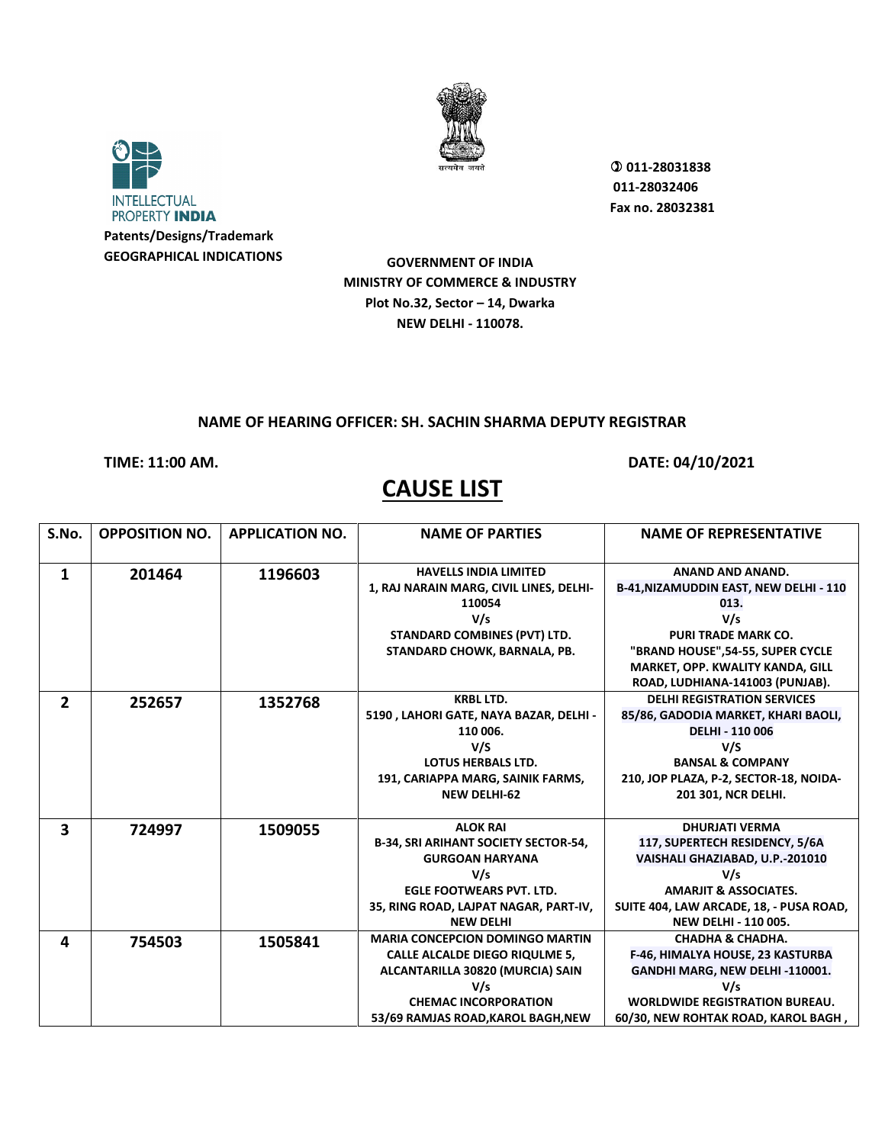



**GEOGRAPHICAL INDICATIONS**

 **011-28031838 011-28032406 Fax no. 28032381**

**GOVERNMENT OF INDIA MINISTRY OF COMMERCE & INDUSTRY Plot No.32, Sector – 14, Dwarka NEW DELHI - 110078.**

#### **NAME OF HEARING OFFICER: SH. SACHIN SHARMA DEPUTY REGISTRAR**

**TIME: 11:00 AM. DATE: 04/10/2021** 

#### S.No. | OPPOSITION NO. | APPLICATION NO. | **NAME OF PARTIES** NAME OF REPRESENTATIVE **1 201464 1196603 HAVELLS INDIA LIMITED 1, RAJ NARAIN MARG, CIVIL LINES, DELHI-110054 V/s STANDARD COMBINES (PVT) LTD. STANDARD CHOWK, BARNALA, PB. ANAND AND ANAND. B-41,NIZAMUDDIN EAST, NEW DELHI - 110 013. V/s PURI TRADE MARK CO. "BRAND HOUSE",54-55, SUPER CYCLE MARKET, OPP. KWALITY KANDA, GILL ROAD, LUDHIANA-141003 (PUNJAB). 2 252657 1352768 KRBL LTD. 5190 , LAHORI GATE, NAYA BAZAR, DELHI - 110 006. V/S LOTUS HERBALS LTD. 191, CARIAPPA MARG, SAINIK FARMS, NEW DELHI-62 DELHI REGISTRATION SERVICES 85/86, GADODIA MARKET, KHARI BAOLI, DELHI - 110 006 V/S BANSAL & COMPANY 210, JOP PLAZA, P-2, SECTOR-18, NOIDA-201 301, NCR DELHI. 3 724997 1509055 ALOK RAI B-34, SRI ARIHANT SOCIETY SECTOR-54, GURGOAN HARYANA V/s EGLE FOOTWEARS PVT. LTD. 35, RING ROAD, LAJPAT NAGAR, PART-IV, NEW DELHI DHURJATI VERMA 117, SUPERTECH RESIDENCY, 5/6A VAISHALI GHAZIABAD, U.P.-201010 V/s AMARJIT & ASSOCIATES. SUITE 404, LAW ARCADE, 18, - PUSA ROAD, NEW DELHI - 110 005. 4 754503 1505841 MARIA CONCEPCION DOMINGO MARTIN CALLE ALCALDE DIEGO RIQULME 5, ALCANTARILLA 30820 (MURCIA) SAIN V/s CHEMAC INCORPORATION 53/69 RAMJAS ROAD,KAROL BAGH,NEW CHADHA & CHADHA. F-46, HIMALYA HOUSE, 23 KASTURBA GANDHI MARG, NEW DELHI -110001. V/s WORLDWIDE REGISTRATION BUREAU. 60/30, NEW ROHTAK ROAD, KAROL BAGH ,**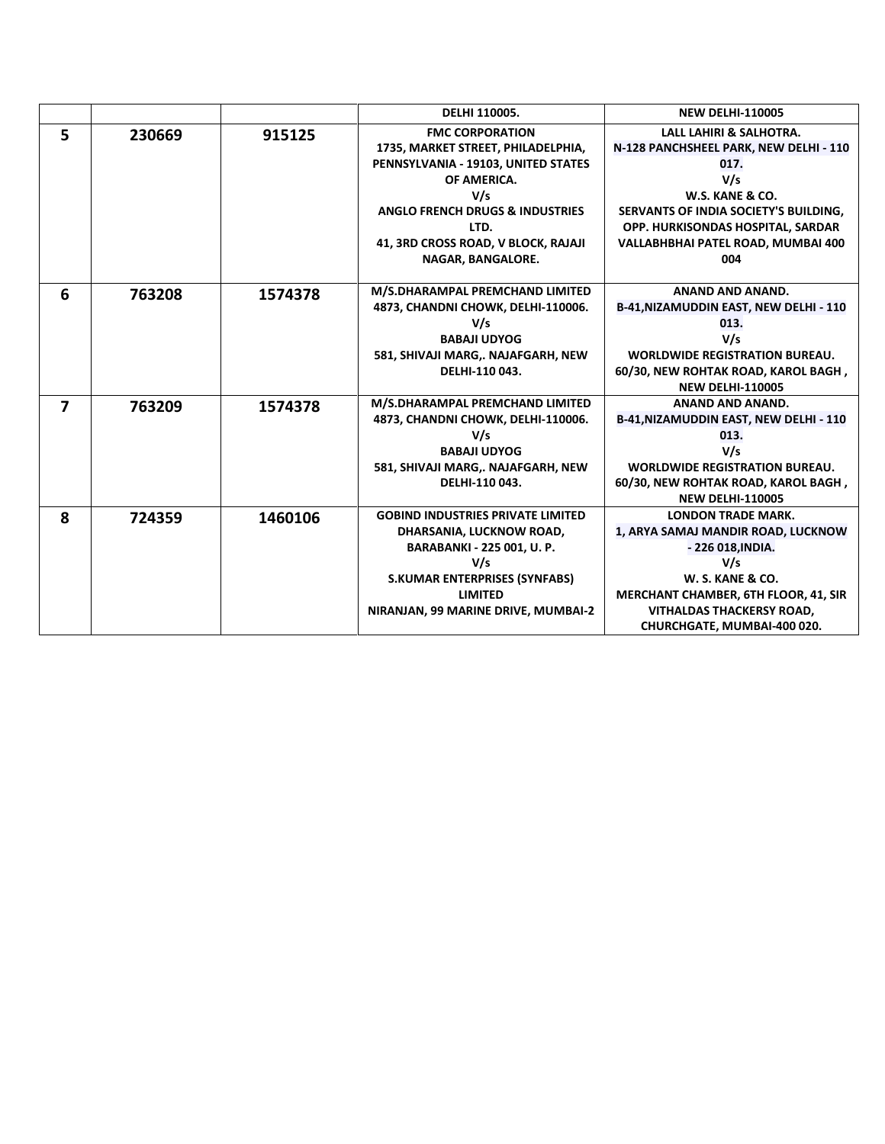|                         |        |         | DELHI 110005.                              | <b>NEW DELHI-110005</b>                |
|-------------------------|--------|---------|--------------------------------------------|----------------------------------------|
| 5                       | 230669 | 915125  | <b>FMC CORPORATION</b>                     | LALL LAHIRI & SALHOTRA.                |
|                         |        |         | 1735, MARKET STREET, PHILADELPHIA,         | N-128 PANCHSHEEL PARK, NEW DELHI - 110 |
|                         |        |         | PENNSYLVANIA - 19103, UNITED STATES        | 017.                                   |
|                         |        |         | OF AMERICA.                                | V/s                                    |
|                         |        |         | V/s                                        | W.S. KANE & CO.                        |
|                         |        |         | <b>ANGLO FRENCH DRUGS &amp; INDUSTRIES</b> | SERVANTS OF INDIA SOCIETY'S BUILDING,  |
|                         |        |         | LTD.                                       | OPP. HURKISONDAS HOSPITAL, SARDAR      |
|                         |        |         | 41, 3RD CROSS ROAD, V BLOCK, RAJAJI        | VALLABHBHAI PATEL ROAD, MUMBAI 400     |
|                         |        |         | NAGAR, BANGALORE.                          | 004                                    |
|                         |        |         |                                            |                                        |
| 6                       | 763208 | 1574378 | M/S.DHARAMPAL PREMCHAND LIMITED            | ANAND AND ANAND.                       |
|                         |        |         | 4873, CHANDNI CHOWK, DELHI-110006.         | B-41, NIZAMUDDIN EAST, NEW DELHI - 110 |
|                         |        |         | V/s                                        | 013.                                   |
|                         |        |         | <b>BABAJI UDYOG</b>                        | V/s                                    |
|                         |        |         | 581, SHIVAJI MARG,. NAJAFGARH, NEW         | <b>WORLDWIDE REGISTRATION BUREAU.</b>  |
|                         |        |         | DELHI-110 043.                             | 60/30, NEW ROHTAK ROAD, KAROL BAGH,    |
|                         |        |         |                                            | <b>NEW DELHI-110005</b>                |
| $\overline{\mathbf{z}}$ | 763209 | 1574378 | M/S.DHARAMPAL PREMCHAND LIMITED            | <b>ANAND AND ANAND.</b>                |
|                         |        |         | 4873, CHANDNI CHOWK, DELHI-110006.         | B-41, NIZAMUDDIN EAST, NEW DELHI - 110 |
|                         |        |         | V/s                                        | 013.                                   |
|                         |        |         | <b>BABAJI UDYOG</b>                        | V/s                                    |
|                         |        |         | 581, SHIVAJI MARG,. NAJAFGARH, NEW         | <b>WORLDWIDE REGISTRATION BUREAU.</b>  |
|                         |        |         | DELHI-110 043.                             | 60/30, NEW ROHTAK ROAD, KAROL BAGH,    |
|                         |        |         |                                            | <b>NEW DELHI-110005</b>                |
| 8                       | 724359 | 1460106 | <b>GOBIND INDUSTRIES PRIVATE LIMITED</b>   | <b>LONDON TRADE MARK.</b>              |
|                         |        |         | DHARSANIA, LUCKNOW ROAD,                   | 1, ARYA SAMAJ MANDIR ROAD, LUCKNOW     |
|                         |        |         | <b>BARABANKI - 225 001, U. P.</b>          | - 226 018, INDIA.                      |
|                         |        |         | V/s                                        | V/s                                    |
|                         |        |         | <b>S.KUMAR ENTERPRISES (SYNFABS)</b>       | W. S. KANE & CO.                       |
|                         |        |         | <b>LIMITED</b>                             | MERCHANT CHAMBER, 6TH FLOOR, 41, SIR   |
|                         |        |         | NIRANJAN, 99 MARINE DRIVE, MUMBAI-2        | <b>VITHALDAS THACKERSY ROAD,</b>       |
|                         |        |         |                                            | CHURCHGATE, MUMBAI-400 020.            |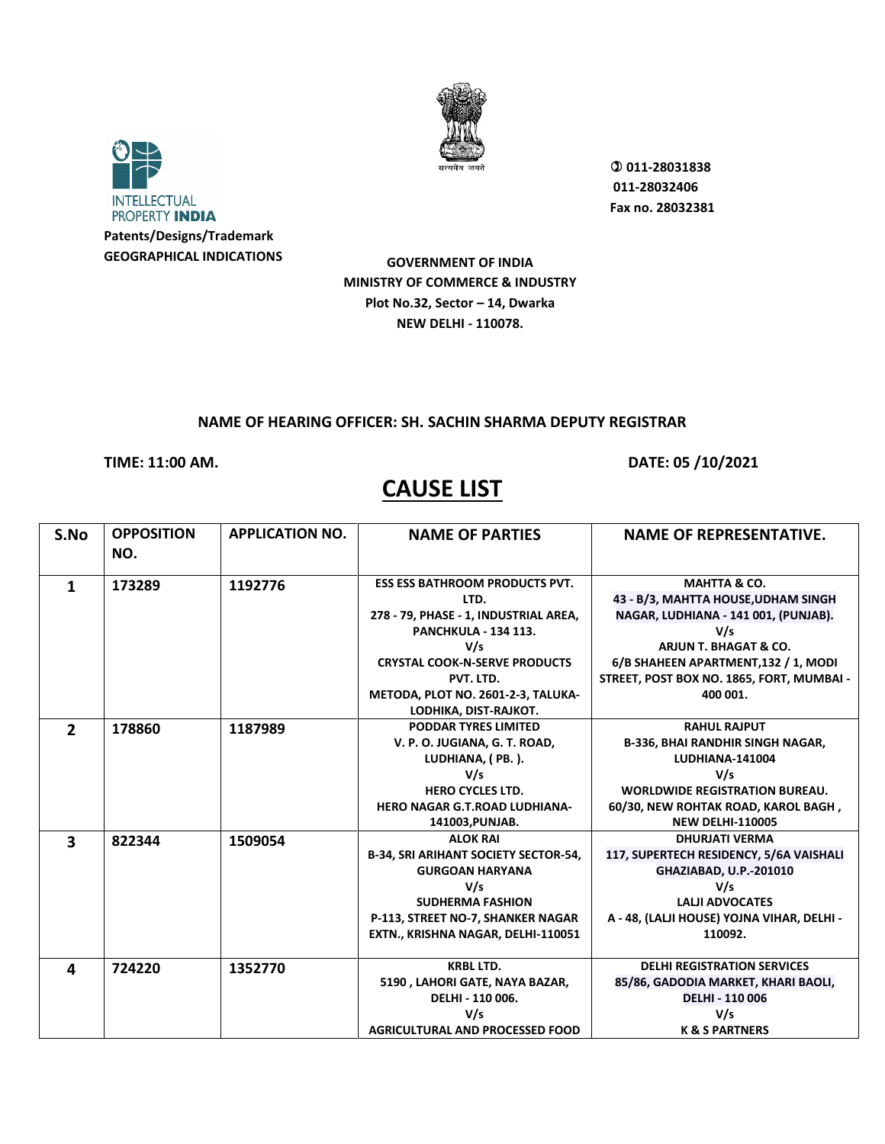



**GEOGRAPHICAL INDICATIONS**

 **011-28031838 011-28032406 Fax no. 28032381**

**GOVERNMENT OF INDIA MINISTRY OF COMMERCE & INDUSTRY Plot No.32, Sector – 14, Dwarka NEW DELHI - 110078.**

### **NAME OF HEARING OFFICER: SH. SACHIN SHARMA DEPUTY REGISTRAR**

**TIME: 11:00 AM. DATE: 05 /10/2021** 

| S.No                    | <b>OPPOSITION</b><br>NO. | <b>APPLICATION NO.</b> | <b>NAME OF PARTIES</b>                                                                                                                                                                                                                           | <b>NAME OF REPRESENTATIVE.</b>                                                                                                                                                                                                          |
|-------------------------|--------------------------|------------------------|--------------------------------------------------------------------------------------------------------------------------------------------------------------------------------------------------------------------------------------------------|-----------------------------------------------------------------------------------------------------------------------------------------------------------------------------------------------------------------------------------------|
| 1                       | 173289                   | 1192776                | <b>ESS ESS BATHROOM PRODUCTS PVT.</b><br>LTD.<br>278 - 79, PHASE - 1, INDUSTRIAL AREA,<br><b>PANCHKULA - 134 113.</b><br>V/s<br><b>CRYSTAL COOK-N-SERVE PRODUCTS</b><br>PVT. LTD.<br>METODA, PLOT NO. 2601-2-3, TALUKA-<br>LODHIKA, DIST-RAJKOT. | <b>MAHTTA &amp; CO.</b><br>43 - B/3, MAHTTA HOUSE, UDHAM SINGH<br>NAGAR, LUDHIANA - 141 001, (PUNJAB).<br>V/s<br>ARJUN T. BHAGAT & CO.<br>6/B SHAHEEN APARTMENT, 132 / 1, MODI<br>STREET, POST BOX NO. 1865, FORT, MUMBAI -<br>400 001. |
| $\overline{2}$          | 178860                   | 1187989                | <b>PODDAR TYRES LIMITED</b><br>V. P. O. JUGIANA, G. T. ROAD,<br>LUDHIANA, (PB.).<br>V/s<br><b>HERO CYCLES LTD.</b><br><b>HERO NAGAR G.T.ROAD LUDHIANA-</b><br>141003, PUNJAB.                                                                    | <b>RAHUL RAJPUT</b><br><b>B-336, BHAI RANDHIR SINGH NAGAR,</b><br><b>LUDHIANA-141004</b><br>V/s<br><b>WORLDWIDE REGISTRATION BUREAU.</b><br>60/30, NEW ROHTAK ROAD, KAROL BAGH,<br><b>NEW DELHI-110005</b>                              |
| $\overline{\mathbf{3}}$ | 822344                   | 1509054                | <b>ALOK RAI</b><br><b>B-34, SRI ARIHANT SOCIETY SECTOR-54,</b><br><b>GURGOAN HARYANA</b><br>V/s<br><b>SUDHERMA FASHION</b><br>P-113, STREET NO-7, SHANKER NAGAR<br>EXTN., KRISHNA NAGAR, DELHI-110051                                            | <b>DHURJATI VERMA</b><br>117, SUPERTECH RESIDENCY, 5/6A VAISHALI<br>GHAZIABAD, U.P.-201010<br>V/s<br><b>LALII ADVOCATES</b><br>A - 48, (LALJI HOUSE) YOJNA VIHAR, DELHI -<br>110092.                                                    |
| 4                       | 724220                   | 1352770                | <b>KRBL LTD.</b><br>5190, LAHORI GATE, NAYA BAZAR,<br>DELHI - 110 006.<br>V/s<br><b>AGRICULTURAL AND PROCESSED FOOD</b>                                                                                                                          | <b>DELHI REGISTRATION SERVICES</b><br>85/86, GADODIA MARKET, KHARI BAOLI,<br><b>DELHI - 110 006</b><br>V/s<br><b>K &amp; S PARTNERS</b>                                                                                                 |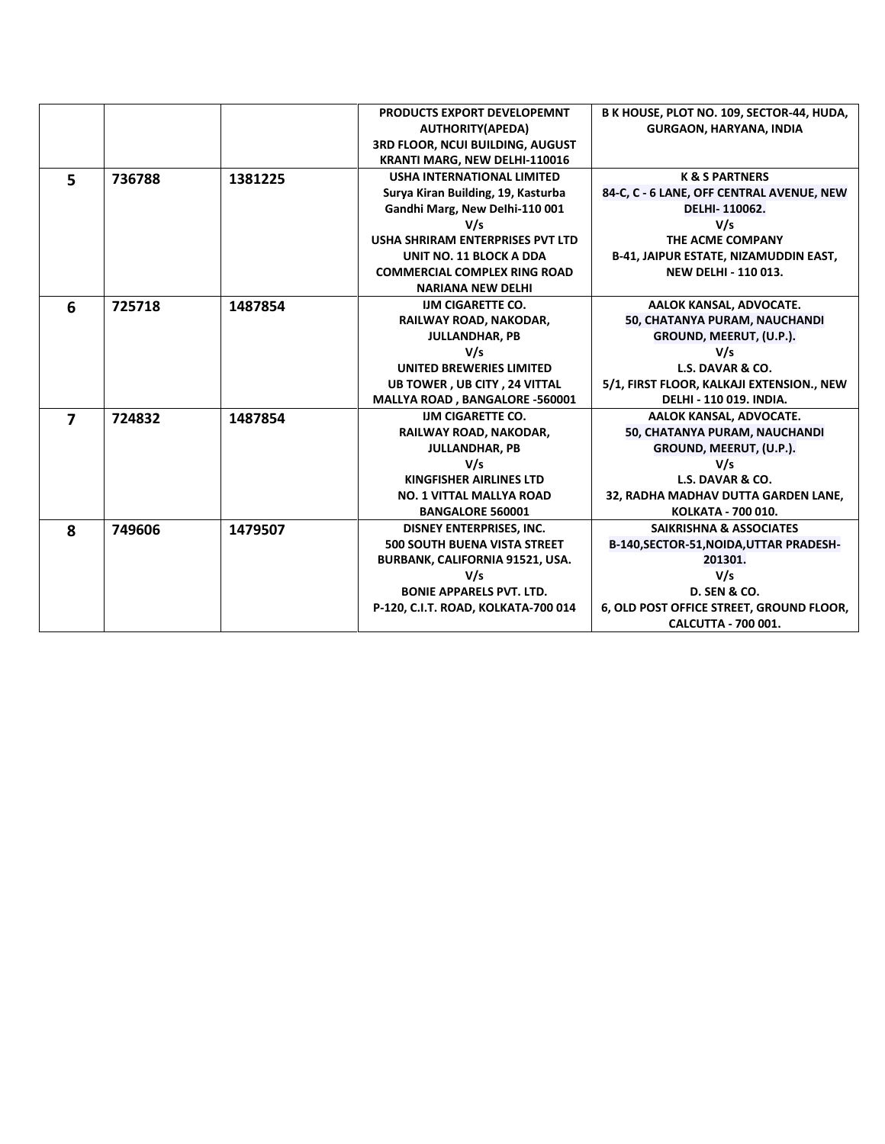|                         |        |         | PRODUCTS EXPORT DEVELOPEMNT         | B K HOUSE, PLOT NO. 109, SECTOR-44, HUDA,    |
|-------------------------|--------|---------|-------------------------------------|----------------------------------------------|
|                         |        |         | <b>AUTHORITY(APEDA)</b>             | <b>GURGAON, HARYANA, INDIA</b>               |
|                         |        |         | 3RD FLOOR, NCUI BUILDING, AUGUST    |                                              |
|                         |        |         | KRANTI MARG, NEW DELHI-110016       |                                              |
| 5                       | 736788 | 1381225 | <b>USHA INTERNATIONAL LIMITED</b>   | <b>K &amp; S PARTNERS</b>                    |
|                         |        |         | Surya Kiran Building, 19, Kasturba  | 84-C, C - 6 LANE, OFF CENTRAL AVENUE, NEW    |
|                         |        |         | Gandhi Marg, New Delhi-110 001      | DELHI-110062.                                |
|                         |        |         | V/s                                 | V/s                                          |
|                         |        |         | USHA SHRIRAM ENTERPRISES PVT LTD    | THE ACME COMPANY                             |
|                         |        |         | <b>UNIT NO. 11 BLOCK A DDA</b>      | <b>B-41, JAIPUR ESTATE, NIZAMUDDIN EAST,</b> |
|                         |        |         | <b>COMMERCIAL COMPLEX RING ROAD</b> | <b>NEW DELHI - 110 013.</b>                  |
|                         |        |         | <b>NARIANA NEW DELHI</b>            |                                              |
| 6                       | 725718 | 1487854 | <b>IJM CIGARETTE CO.</b>            | AALOK KANSAL, ADVOCATE.                      |
|                         |        |         | RAILWAY ROAD, NAKODAR,              | 50, CHATANYA PURAM, NAUCHANDI                |
|                         |        |         | <b>JULLANDHAR, PB</b>               | GROUND, MEERUT, (U.P.).                      |
|                         |        |         | V/s                                 | V/s                                          |
|                         |        |         | <b>UNITED BREWERIES LIMITED</b>     | L.S. DAVAR & CO.                             |
|                         |        |         | <b>UB TOWER, UB CITY, 24 VITTAL</b> | 5/1, FIRST FLOOR, KALKAJI EXTENSION., NEW    |
|                         |        |         | MALLYA ROAD, BANGALORE -560001      | <b>DELHI - 110 019. INDIA.</b>               |
| $\overline{\mathbf{z}}$ | 724832 | 1487854 | <b>IJM CIGARETTE CO.</b>            | AALOK KANSAL, ADVOCATE.                      |
|                         |        |         | RAILWAY ROAD, NAKODAR,              | 50, CHATANYA PURAM, NAUCHANDI                |
|                         |        |         | <b>JULLANDHAR, PB</b>               | GROUND, MEERUT, (U.P.).                      |
|                         |        |         | V/s                                 | V/s                                          |
|                         |        |         | KINGFISHER AIRLINES LTD             | L.S. DAVAR & CO.                             |
|                         |        |         | <b>NO. 1 VITTAL MALLYA ROAD</b>     | 32, RADHA MADHAV DUTTA GARDEN LANE,          |
|                         |        |         | <b>BANGALORE 560001</b>             | KOLKATA - 700 010.                           |
| 8                       | 749606 | 1479507 | DISNEY ENTERPRISES, INC.            | <b>SAIKRISHNA &amp; ASSOCIATES</b>           |
|                         |        |         | <b>500 SOUTH BUENA VISTA STREET</b> | B-140, SECTOR-51, NOIDA, UTTAR PRADESH-      |
|                         |        |         | BURBANK, CALIFORNIA 91521, USA.     | 201301.                                      |
|                         |        |         | V/s                                 | V/s                                          |
|                         |        |         | <b>BONIE APPARELS PVT. LTD.</b>     | <b>D. SEN &amp; CO.</b>                      |
|                         |        |         | P-120, C.I.T. ROAD, KOLKATA-700 014 | 6, OLD POST OFFICE STREET, GROUND FLOOR,     |
|                         |        |         |                                     | <b>CALCUTTA - 700 001.</b>                   |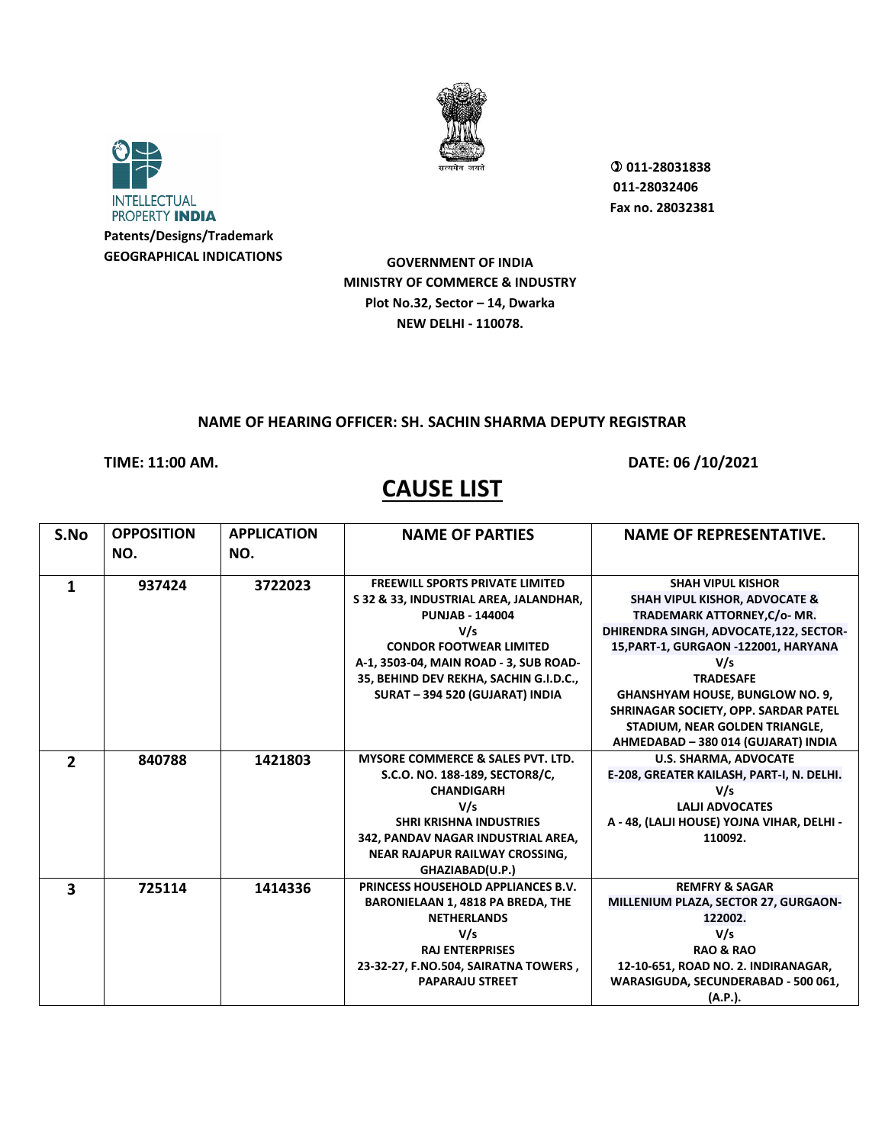



 **011-28031838 011-28032406 Fax no. 28032381**

**GOVERNMENT OF INDIA MINISTRY OF COMMERCE & INDUSTRY Plot No.32, Sector – 14, Dwarka NEW DELHI - 110078.**

#### **NAME OF HEARING OFFICER: SH. SACHIN SHARMA DEPUTY REGISTRAR**

## **TIME: 11:00 AM. DATE: 06 /10/2021**

| S.No           | <b>OPPOSITION</b> | <b>APPLICATION</b> | <b>NAME OF PARTIES</b>                       | <b>NAME OF REPRESENTATIVE.</b>             |
|----------------|-------------------|--------------------|----------------------------------------------|--------------------------------------------|
|                | NO.               | NO.                |                                              |                                            |
| 1              | 937424            | 3722023            | <b>FREEWILL SPORTS PRIVATE LIMITED</b>       | <b>SHAH VIPUL KISHOR</b>                   |
|                |                   |                    | S 32 & 33, INDUSTRIAL AREA, JALANDHAR,       | <b>SHAH VIPUL KISHOR, ADVOCATE &amp;</b>   |
|                |                   |                    | <b>PUNJAB - 144004</b>                       | TRADEMARK ATTORNEY, C/o- MR.               |
|                |                   |                    | V/s                                          | DHIRENDRA SINGH, ADVOCATE, 122, SECTOR-    |
|                |                   |                    | <b>CONDOR FOOTWEAR LIMITED</b>               | 15, PART-1, GURGAON -122001, HARYANA       |
|                |                   |                    | A-1, 3503-04, MAIN ROAD - 3, SUB ROAD-       | V/s                                        |
|                |                   |                    | 35, BEHIND DEV REKHA, SACHIN G.I.D.C.,       | <b>TRADESAFE</b>                           |
|                |                   |                    | SURAT-394 520 (GUJARAT) INDIA                | <b>GHANSHYAM HOUSE, BUNGLOW NO. 9,</b>     |
|                |                   |                    |                                              | SHRINAGAR SOCIETY, OPP. SARDAR PATEL       |
|                |                   |                    |                                              | STADIUM, NEAR GOLDEN TRIANGLE,             |
|                |                   |                    |                                              | AHMEDABAD - 380 014 (GUJARAT) INDIA        |
| $\overline{2}$ | 840788            | 1421803            | <b>MYSORE COMMERCE &amp; SALES PVT. LTD.</b> | <b>U.S. SHARMA, ADVOCATE</b>               |
|                |                   |                    | S.C.O. NO. 188-189, SECTOR8/C,               | E-208, GREATER KAILASH, PART-I, N. DELHI.  |
|                |                   |                    | <b>CHANDIGARH</b>                            | V/s                                        |
|                |                   |                    | V/s                                          | <b>LALII ADVOCATES</b>                     |
|                |                   |                    | <b>SHRI KRISHNA INDUSTRIES</b>               | A - 48, (LALJI HOUSE) YOJNA VIHAR, DELHI - |
|                |                   |                    | 342, PANDAV NAGAR INDUSTRIAL AREA,           | 110092.                                    |
|                |                   |                    | <b>NEAR RAJAPUR RAILWAY CROSSING.</b>        |                                            |
|                |                   |                    | GHAZIABAD(U.P.)                              |                                            |
| 3              | 725114            | 1414336            | PRINCESS HOUSEHOLD APPLIANCES B.V.           | <b>REMFRY &amp; SAGAR</b>                  |
|                |                   |                    | BARONIELAAN 1, 4818 PA BREDA, THE            | MILLENIUM PLAZA, SECTOR 27, GURGAON-       |
|                |                   |                    | <b>NETHERLANDS</b>                           | 122002.                                    |
|                |                   |                    | V/s                                          | V/s                                        |
|                |                   |                    | <b>RAJ ENTERPRISES</b>                       | <b>RAO &amp; RAO</b>                       |
|                |                   |                    | 23-32-27, F.NO.504, SAIRATNA TOWERS,         | 12-10-651, ROAD NO. 2. INDIRANAGAR,        |
|                |                   |                    | <b>PAPARAJU STREET</b>                       | WARASIGUDA, SECUNDERABAD - 500 061,        |
|                |                   |                    |                                              | (A.P.).                                    |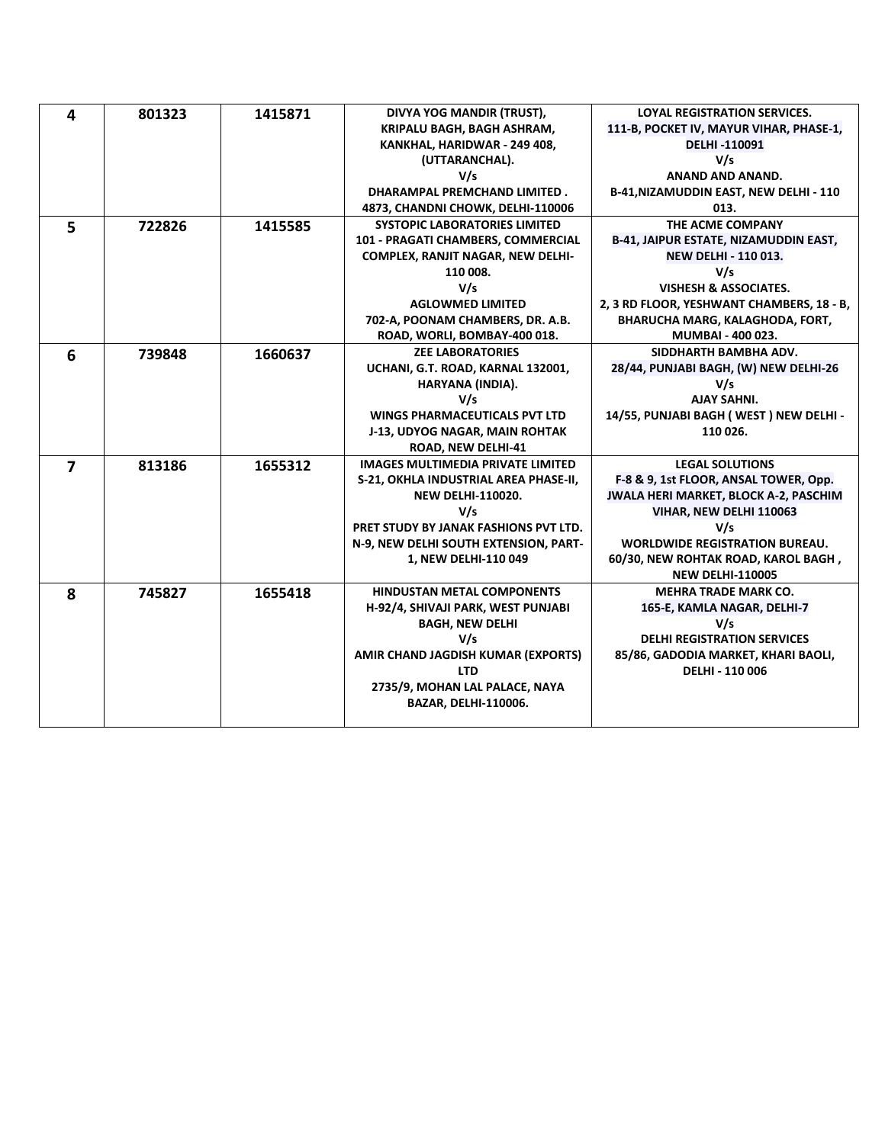| 4              | 801323 | 1415871 | DIVYA YOG MANDIR (TRUST),                | <b>LOYAL REGISTRATION SERVICES.</b>          |
|----------------|--------|---------|------------------------------------------|----------------------------------------------|
|                |        |         | KRIPALU BAGH, BAGH ASHRAM,               | 111-B, POCKET IV, MAYUR VIHAR, PHASE-1,      |
|                |        |         | KANKHAL, HARIDWAR - 249 408,             | DELHI-110091                                 |
|                |        |         | (UTTARANCHAL).                           | V/s                                          |
|                |        |         | V/s                                      | ANAND AND ANAND.                             |
|                |        |         | <b>DHARAMPAL PREMCHAND LIMITED.</b>      | B-41, NIZAMUDDIN EAST, NEW DELHI - 110       |
|                |        |         | 4873, CHANDNI CHOWK, DELHI-110006        | 013.                                         |
| 5              | 722826 | 1415585 | <b>SYSTOPIC LABORATORIES LIMITED</b>     | THE ACME COMPANY                             |
|                |        |         | 101 - PRAGATI CHAMBERS, COMMERCIAL       | <b>B-41, JAIPUR ESTATE, NIZAMUDDIN EAST,</b> |
|                |        |         | COMPLEX, RANJIT NAGAR, NEW DELHI-        | <b>NEW DELHI - 110 013.</b>                  |
|                |        |         | 110 008.                                 | V/s                                          |
|                |        |         | V/s                                      | <b>VISHESH &amp; ASSOCIATES.</b>             |
|                |        |         | <b>AGLOWMED LIMITED</b>                  | 2, 3 RD FLOOR, YESHWANT CHAMBERS, 18 - B,    |
|                |        |         | 702-A, POONAM CHAMBERS, DR. A.B.         | <b>BHARUCHA MARG, KALAGHODA, FORT,</b>       |
|                |        |         | ROAD, WORLI, BOMBAY-400 018.             | <b>MUMBAI - 400 023.</b>                     |
| 6              | 739848 | 1660637 | <b>ZEE LABORATORIES</b>                  | SIDDHARTH BAMBHA ADV.                        |
|                |        |         | UCHANI, G.T. ROAD, KARNAL 132001,        | 28/44, PUNJABI BAGH, (W) NEW DELHI-26        |
|                |        |         | HARYANA (INDIA).                         | V/s                                          |
|                |        |         | V/s                                      | <b>AJAY SAHNI.</b>                           |
|                |        |         | <b>WINGS PHARMACEUTICALS PVT LTD</b>     | 14/55, PUNJABI BAGH (WEST) NEW DELHI -       |
|                |        |         | J-13, UDYOG NAGAR, MAIN ROHTAK           | 110 026.                                     |
|                |        |         | ROAD, NEW DELHI-41                       |                                              |
| $\overline{ }$ | 813186 | 1655312 | <b>IMAGES MULTIMEDIA PRIVATE LIMITED</b> | <b>LEGAL SOLUTIONS</b>                       |
|                |        |         | S-21, OKHLA INDUSTRIAL AREA PHASE-II,    | F-8 & 9, 1st FLOOR, ANSAL TOWER, Opp.        |
|                |        |         | <b>NEW DELHI-110020.</b>                 | JWALA HERI MARKET, BLOCK A-2, PASCHIM        |
|                |        |         | V/s                                      | VIHAR, NEW DELHI 110063                      |
|                |        |         | PRET STUDY BY JANAK FASHIONS PVT LTD.    | V/s                                          |
|                |        |         | N-9, NEW DELHI SOUTH EXTENSION, PART-    | <b>WORLDWIDE REGISTRATION BUREAU.</b>        |
|                |        |         | 1, NEW DELHI-110 049                     | 60/30, NEW ROHTAK ROAD, KAROL BAGH,          |
|                |        |         |                                          | <b>NEW DELHI-110005</b>                      |
| 8              | 745827 | 1655418 | <b>HINDUSTAN METAL COMPONENTS</b>        | <b>MEHRA TRADE MARK CO.</b>                  |
|                |        |         | H-92/4, SHIVAJI PARK, WEST PUNJABI       | 165-E, KAMLA NAGAR, DELHI-7                  |
|                |        |         | <b>BAGH, NEW DELHI</b>                   | V/s                                          |
|                |        |         | V/s                                      | <b>DELHI REGISTRATION SERVICES</b>           |
|                |        |         | AMIR CHAND JAGDISH KUMAR (EXPORTS)       | 85/86, GADODIA MARKET, KHARI BAOLI,          |
|                |        |         | <b>LTD</b>                               | <b>DELHI - 110 006</b>                       |
|                |        |         | 2735/9, MOHAN LAL PALACE, NAYA           |                                              |
|                |        |         | BAZAR, DELHI-110006.                     |                                              |
|                |        |         |                                          |                                              |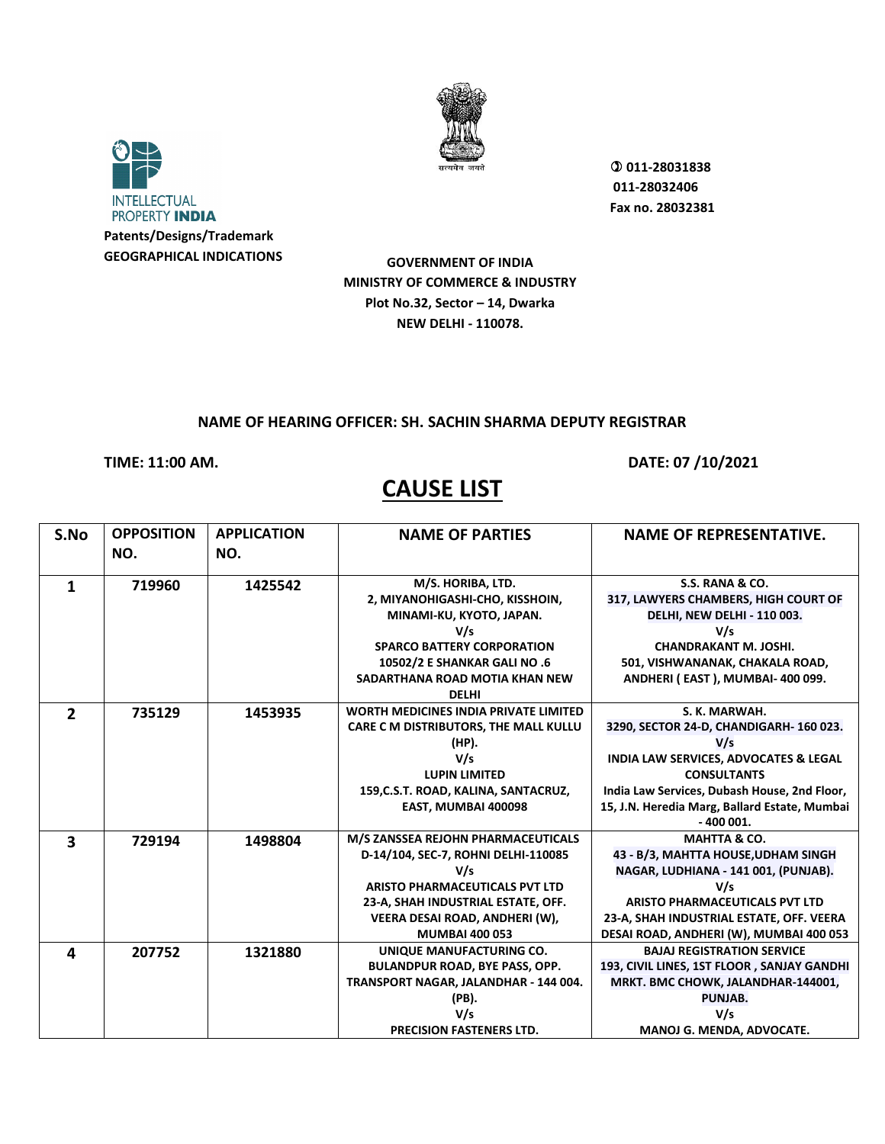



**GOVERNMENT OF INDIA MINISTRY OF COMMERCE & INDUSTRY Plot No.32, Sector – 14, Dwarka NEW DELHI - 110078.**

## **NAME OF HEARING OFFICER: SH. SACHIN SHARMA DEPUTY REGISTRAR**

**CAUSE LIST** 

**TIME: 11:00 AM. DATE: 07 /10/2021** 

 **011-28031838 011-28032406 Fax no. 28032381**

| S.No                    | <b>OPPOSITION</b> | <b>APPLICATION</b> | <b>NAME OF PARTIES</b>                       | <b>NAME OF REPRESENTATIVE.</b>                   |
|-------------------------|-------------------|--------------------|----------------------------------------------|--------------------------------------------------|
|                         | NO.               | NO.                |                                              |                                                  |
|                         |                   |                    |                                              |                                                  |
| $\mathbf{1}$            | 719960            | 1425542            | M/S. HORIBA, LTD.                            | <b>S.S. RANA &amp; CO.</b>                       |
|                         |                   |                    | 2, MIYANOHIGASHI-CHO, KISSHOIN,              | 317, LAWYERS CHAMBERS, HIGH COURT OF             |
|                         |                   |                    | MINAMI-KU, KYOTO, JAPAN.                     | DELHI, NEW DELHI - 110 003.                      |
|                         |                   |                    | V/s                                          | V/s                                              |
|                         |                   |                    | <b>SPARCO BATTERY CORPORATION</b>            | <b>CHANDRAKANT M. JOSHI.</b>                     |
|                         |                   |                    | 10502/2 E SHANKAR GALI NO .6                 | 501, VISHWANANAK, CHAKALA ROAD,                  |
|                         |                   |                    | SADARTHANA ROAD MOTIA KHAN NEW               | ANDHERI (EAST), MUMBAI-400 099.                  |
|                         |                   |                    | <b>DELHI</b>                                 |                                                  |
| $\overline{2}$          | 735129            | 1453935            | <b>WORTH MEDICINES INDIA PRIVATE LIMITED</b> | S. K. MARWAH.                                    |
|                         |                   |                    | CARE C M DISTRIBUTORS, THE MALL KULLU        | 3290, SECTOR 24-D, CHANDIGARH- 160 023.          |
|                         |                   |                    | (HP).                                        | V/s                                              |
|                         |                   |                    | V/s                                          | <b>INDIA LAW SERVICES, ADVOCATES &amp; LEGAL</b> |
|                         |                   |                    | <b>LUPIN LIMITED</b>                         | <b>CONSULTANTS</b>                               |
|                         |                   |                    | 159, C.S.T. ROAD, KALINA, SANTACRUZ,         | India Law Services, Dubash House, 2nd Floor,     |
|                         |                   |                    | EAST, MUMBAI 400098                          | 15, J.N. Heredia Marg, Ballard Estate, Mumbai    |
|                         |                   |                    |                                              | $-400001.$                                       |
| $\overline{\mathbf{3}}$ | 729194            | 1498804            | M/S ZANSSEA REJOHN PHARMACEUTICALS           | <b>MAHTTA &amp; CO.</b>                          |
|                         |                   |                    | D-14/104, SEC-7, ROHNI DELHI-110085          | 43 - B/3, MAHTTA HOUSE, UDHAM SINGH              |
|                         |                   |                    | V/s                                          | NAGAR, LUDHIANA - 141 001, (PUNJAB).             |
|                         |                   |                    | <b>ARISTO PHARMACEUTICALS PVT LTD</b>        | V/s                                              |
|                         |                   |                    | 23-A, SHAH INDUSTRIAL ESTATE, OFF.           | ARISTO PHARMACEUTICALS PVT LTD                   |
|                         |                   |                    | VEERA DESAI ROAD, ANDHERI (W),               | 23-A, SHAH INDUSTRIAL ESTATE, OFF. VEERA         |
|                         |                   |                    | <b>MUMBAI 400 053</b>                        | DESAI ROAD, ANDHERI (W), MUMBAI 400 053          |
| 4                       | 207752            | 1321880            | UNIQUE MANUFACTURING CO.                     | <b>BAJAJ REGISTRATION SERVICE</b>                |
|                         |                   |                    | <b>BULANDPUR ROAD, BYE PASS, OPP.</b>        | 193, CIVIL LINES, 1ST FLOOR, SANJAY GANDHI       |
|                         |                   |                    | TRANSPORT NAGAR, JALANDHAR - 144 004.        | MRKT. BMC CHOWK, JALANDHAR-144001,               |
|                         |                   |                    | (PB).                                        | PUNJAB.                                          |
|                         |                   |                    | V/s                                          | V/s                                              |
|                         |                   |                    | <b>PRECISION FASTENERS LTD.</b>              | MANOJ G. MENDA, ADVOCATE.                        |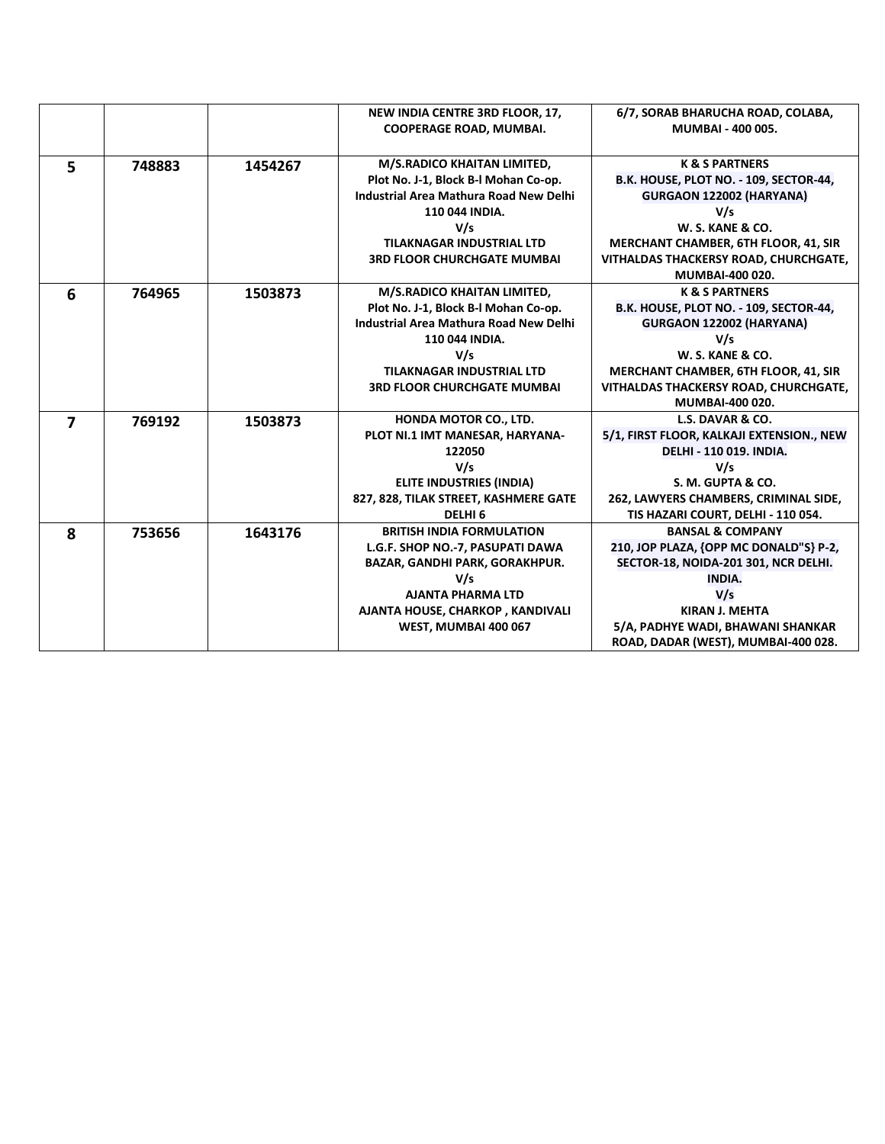|                         |        |         | NEW INDIA CENTRE 3RD FLOOR, 17,        | 6/7, SORAB BHARUCHA ROAD, COLABA,         |
|-------------------------|--------|---------|----------------------------------------|-------------------------------------------|
|                         |        |         | <b>COOPERAGE ROAD, MUMBAI.</b>         | MUMBAI - 400 005.                         |
|                         |        |         |                                        |                                           |
| 5                       | 748883 | 1454267 | M/S.RADICO KHAITAN LIMITED,            | <b>K &amp; S PARTNERS</b>                 |
|                         |        |         | Plot No. J-1, Block B-I Mohan Co-op.   | B.K. HOUSE, PLOT NO. - 109, SECTOR-44,    |
|                         |        |         | Industrial Area Mathura Road New Delhi | GURGAON 122002 (HARYANA)                  |
|                         |        |         | 110 044 INDIA.                         | V/s                                       |
|                         |        |         | V/s                                    | <b>W. S. KANE &amp; CO.</b>               |
|                         |        |         | <b>TILAKNAGAR INDUSTRIAL LTD</b>       | MERCHANT CHAMBER, 6TH FLOOR, 41, SIR      |
|                         |        |         | <b>3RD FLOOR CHURCHGATE MUMBAI</b>     | VITHALDAS THACKERSY ROAD, CHURCHGATE,     |
|                         |        |         |                                        | MUMBAI-400 020.                           |
| 6                       | 764965 | 1503873 | M/S.RADICO KHAITAN LIMITED,            | <b>K &amp; S PARTNERS</b>                 |
|                         |        |         | Plot No. J-1, Block B-I Mohan Co-op.   | B.K. HOUSE, PLOT NO. - 109, SECTOR-44,    |
|                         |        |         | Industrial Area Mathura Road New Delhi | GURGAON 122002 (HARYANA)                  |
|                         |        |         | 110 044 INDIA.                         | V/s                                       |
|                         |        |         | V/s                                    | <b>W. S. KANE &amp; CO.</b>               |
|                         |        |         | <b>TILAKNAGAR INDUSTRIAL LTD</b>       | MERCHANT CHAMBER, 6TH FLOOR, 41, SIR      |
|                         |        |         | <b>3RD FLOOR CHURCHGATE MUMBAI</b>     | VITHALDAS THACKERSY ROAD, CHURCHGATE,     |
|                         |        |         |                                        | <b>MUMBAI-400 020.</b>                    |
| $\overline{\mathbf{z}}$ | 769192 | 1503873 | HONDA MOTOR CO., LTD.                  | L.S. DAVAR & CO.                          |
|                         |        |         | PLOT NI.1 IMT MANESAR, HARYANA-        | 5/1, FIRST FLOOR, KALKAJI EXTENSION., NEW |
|                         |        |         | 122050                                 | <b>DELHI - 110 019. INDIA.</b>            |
|                         |        |         | V/s                                    | V/s                                       |
|                         |        |         | <b>ELITE INDUSTRIES (INDIA)</b>        | S. M. GUPTA & CO.                         |
|                         |        |         | 827, 828, TILAK STREET, KASHMERE GATE  | 262, LAWYERS CHAMBERS, CRIMINAL SIDE,     |
|                         |        |         | DELHI <sub>6</sub>                     | TIS HAZARI COURT, DELHI - 110 054.        |
| 8                       | 753656 | 1643176 | <b>BRITISH INDIA FORMULATION</b>       | <b>BANSAL &amp; COMPANY</b>               |
|                         |        |         | L.G.F. SHOP NO.-7, PASUPATI DAWA       | 210, JOP PLAZA, {OPP MC DONALD"S} P-2,    |
|                         |        |         | <b>BAZAR, GANDHI PARK, GORAKHPUR.</b>  | SECTOR-18, NOIDA-201 301, NCR DELHI.      |
|                         |        |         | V/s                                    | <b>INDIA.</b>                             |
|                         |        |         | <b>AJANTA PHARMA LTD</b>               | V/s                                       |
|                         |        |         | AJANTA HOUSE, CHARKOP, KANDIVALI       | <b>KIRAN J. MEHTA</b>                     |
|                         |        |         | WEST, MUMBAI 400 067                   | 5/A, PADHYE WADI, BHAWANI SHANKAR         |
|                         |        |         |                                        | ROAD, DADAR (WEST), MUMBAI-400 028.       |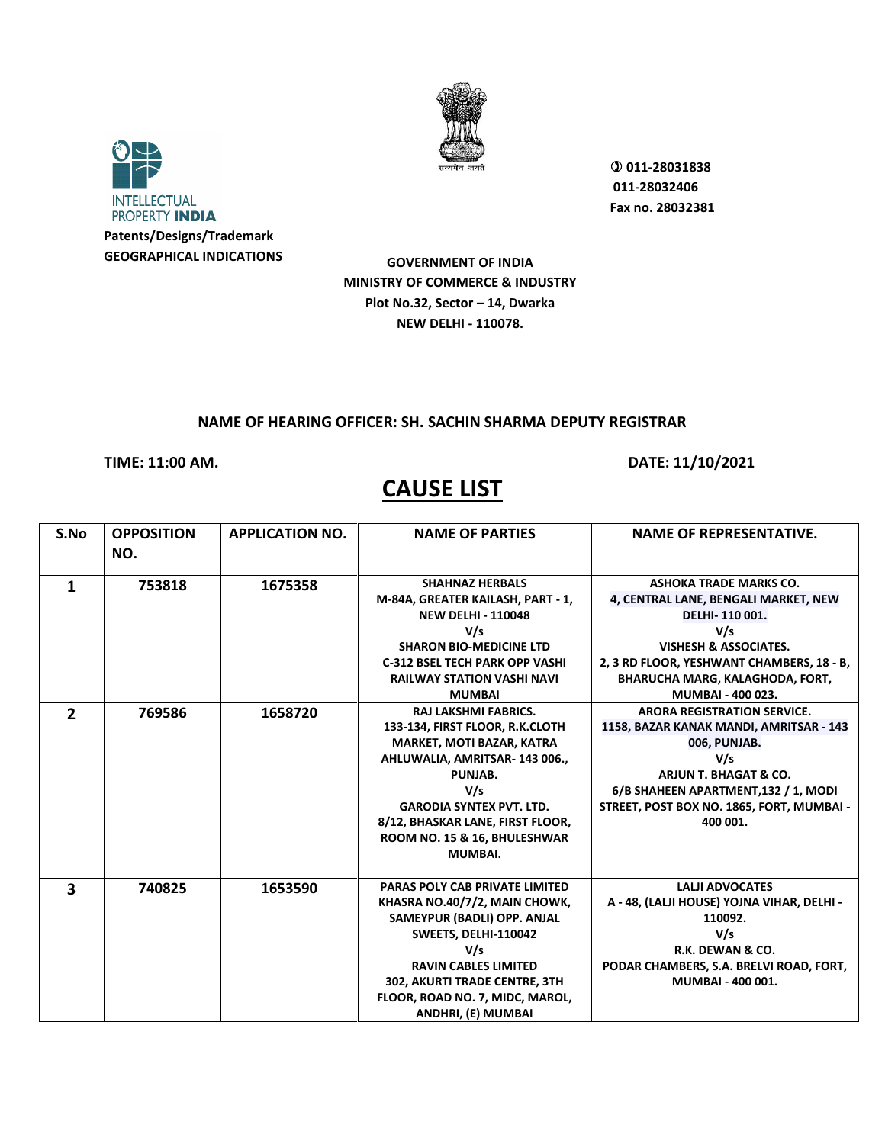



 **011-28031838 011-28032406 Fax no. 28032381**

**GOVERNMENT OF INDIA MINISTRY OF COMMERCE & INDUSTRY Plot No.32, Sector – 14, Dwarka NEW DELHI - 110078.**

### **NAME OF HEARING OFFICER: SH. SACHIN SHARMA DEPUTY REGISTRAR**

**TIME: 11:00 AM. DATE: 11/10/2021** 

## **CAUSE LIST**

#### **S.No OPPOSITION NO. APPLICATION NO. NAME OF PARTIES NAME OF REPRESENTATIVE. 1 753818 1675358 SHAHNAZ HERBALS M-84A, GREATER KAILASH, PART - 1, NEW DELHI - 110048 V/s SHARON BIO-MEDICINE LTD C-312 BSEL TECH PARK OPP VASHI RAILWAY STATION VASHI NAVI MUMBAI ASHOKA TRADE MARKS CO. 4, CENTRAL LANE, BENGALI MARKET, NEW DELHI- 110 001. V/s VISHESH & ASSOCIATES. 2, 3 RD FLOOR, YESHWANT CHAMBERS, 18 - B, BHARUCHA MARG, KALAGHODA, FORT, MUMBAI - 400 023. 2 769586 1658720 RAJ LAKSHMI FABRICS. 133-134, FIRST FLOOR, R.K.CLOTH MARKET, MOTI BAZAR, KATRA AHLUWALIA, AMRITSAR- 143 006., PUNJAB. V/s GARODIA SYNTEX PVT. LTD. 8/12, BHASKAR LANE, FIRST FLOOR, ROOM NO. 15 & 16, BHULESHWAR MUMBAI. ARORA REGISTRATION SERVICE. 1158, BAZAR KANAK MANDI, AMRITSAR - 143 006, PUNJAB. V/s ARJUN T. BHAGAT & CO. 6/B SHAHEEN APARTMENT,132 / 1, MODI STREET, POST BOX NO. 1865, FORT, MUMBAI - 400 001. 3 740825 1653590 PARAS POLY CAB PRIVATE LIMITED KHASRA NO.40/7/2, MAIN CHOWK, SAMEYPUR (BADLI) OPP. ANJAL SWEETS, DELHI-110042 V/s RAVIN CABLES LIMITED 302, AKURTI TRADE CENTRE, 3TH FLOOR, ROAD NO. 7, MIDC, MAROL, ANDHRI, (E) MUMBAI LALJI ADVOCATES A - 48, (LALJI HOUSE) YOJNA VIHAR, DELHI - 110092. V/s R.K. DEWAN & CO. PODAR CHAMBERS, S.A. BRELVI ROAD, FORT, MUMBAI - 400 001.**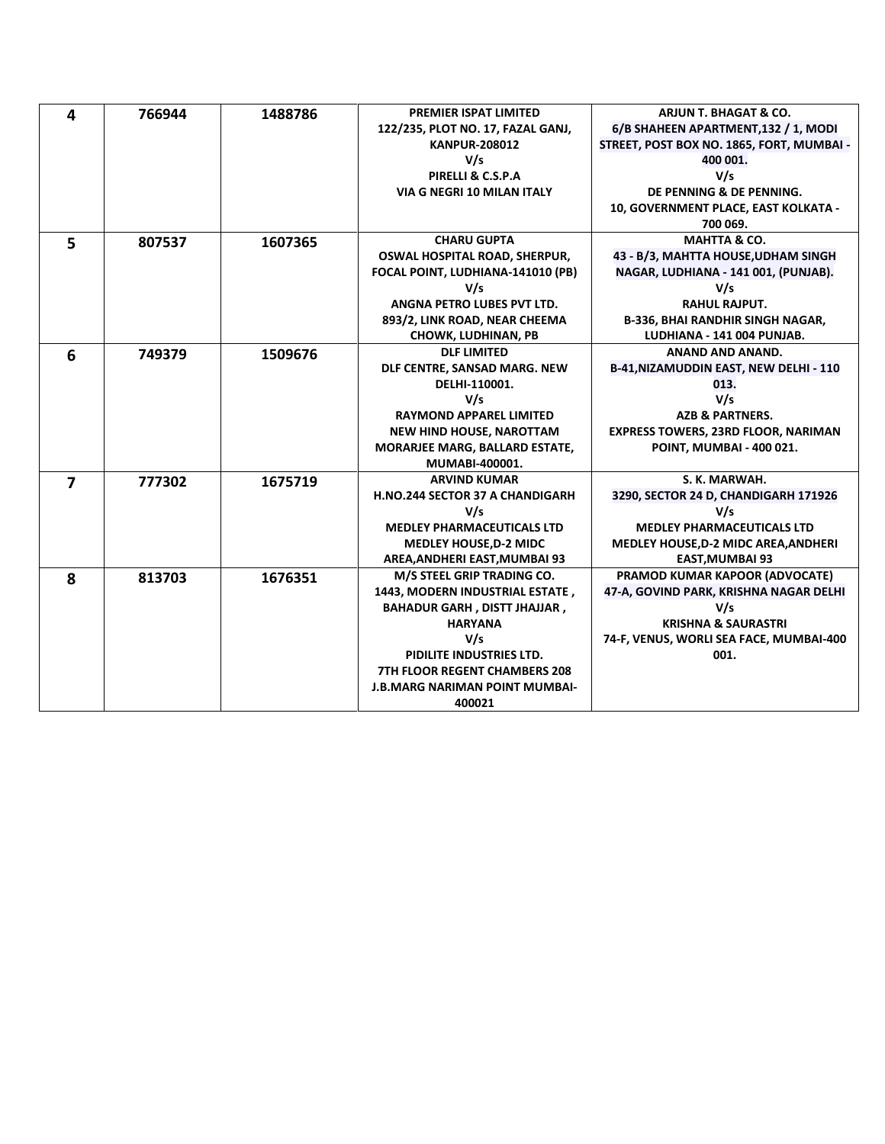| 4              | 766944 | 1488786 | <b>PREMIER ISPAT LIMITED</b>          | <b>ARJUN T. BHAGAT &amp; CO.</b>           |
|----------------|--------|---------|---------------------------------------|--------------------------------------------|
|                |        |         | 122/235, PLOT NO. 17, FAZAL GANJ,     | 6/B SHAHEEN APARTMENT, 132 / 1, MODI       |
|                |        |         | <b>KANPUR-208012</b>                  | STREET, POST BOX NO. 1865, FORT, MUMBAI -  |
|                |        |         | V/s                                   | 400 001.                                   |
|                |        |         | PIRELLI & C.S.P.A                     | V/s                                        |
|                |        |         | <b>VIA G NEGRI 10 MILAN ITALY</b>     | DE PENNING & DE PENNING.                   |
|                |        |         |                                       | 10, GOVERNMENT PLACE, EAST KOLKATA -       |
|                |        |         |                                       | 700 069.                                   |
| 5              | 807537 | 1607365 | <b>CHARU GUPTA</b>                    | <b>MAHTTA &amp; CO.</b>                    |
|                |        |         | OSWAL HOSPITAL ROAD, SHERPUR,         | 43 - B/3, MAHTTA HOUSE, UDHAM SINGH        |
|                |        |         | FOCAL POINT, LUDHIANA-141010 (PB)     | NAGAR, LUDHIANA - 141 001, (PUNJAB).       |
|                |        |         | V/s                                   | V/s                                        |
|                |        |         | ANGNA PETRO LUBES PVT LTD.            | <b>RAHUL RAJPUT.</b>                       |
|                |        |         | 893/2, LINK ROAD, NEAR CHEEMA         | <b>B-336, BHAI RANDHIR SINGH NAGAR,</b>    |
|                |        |         | <b>CHOWK, LUDHINAN, PB</b>            | LUDHIANA - 141 004 PUNJAB.                 |
| 6              | 749379 | 1509676 | <b>DLF LIMITED</b>                    | ANAND AND ANAND.                           |
|                |        |         | DLF CENTRE, SANSAD MARG. NEW          | B-41, NIZAMUDDIN EAST, NEW DELHI - 110     |
|                |        |         | DELHI-110001.                         | 013.                                       |
|                |        |         | V/s                                   | V/s                                        |
|                |        |         | <b>RAYMOND APPAREL LIMITED</b>        | <b>AZB &amp; PARTNERS.</b>                 |
|                |        |         | <b>NEW HIND HOUSE, NAROTTAM</b>       | <b>EXPRESS TOWERS, 23RD FLOOR, NARIMAN</b> |
|                |        |         | <b>MORARJEE MARG, BALLARD ESTATE,</b> | POINT, MUMBAI - 400 021.                   |
|                |        |         | MUMABI-400001.                        |                                            |
| $\overline{7}$ | 777302 | 1675719 | <b>ARVIND KUMAR</b>                   | S. K. MARWAH.                              |
|                |        |         | H.NO.244 SECTOR 37 A CHANDIGARH       | 3290, SECTOR 24 D, CHANDIGARH 171926       |
|                |        |         | V/s                                   | V/s                                        |
|                |        |         | <b>MEDLEY PHARMACEUTICALS LTD</b>     | <b>MEDLEY PHARMACEUTICALS LTD</b>          |
|                |        |         | <b>MEDLEY HOUSE, D-2 MIDC</b>         | MEDLEY HOUSE, D-2 MIDC AREA, ANDHERI       |
|                |        |         | AREA, ANDHERI EAST, MUMBAI 93         | <b>EAST, MUMBAI 93</b>                     |
| 8              | 813703 | 1676351 | M/S STEEL GRIP TRADING CO.            | PRAMOD KUMAR KAPOOR (ADVOCATE)             |
|                |        |         | 1443, MODERN INDUSTRIAL ESTATE,       | 47-A, GOVIND PARK, KRISHNA NAGAR DELHI     |
|                |        |         | <b>BAHADUR GARH, DISTT JHAJJAR,</b>   | V/s                                        |
|                |        |         | <b>HARYANA</b>                        | <b>KRISHNA &amp; SAURASTRI</b>             |
|                |        |         | V/s                                   | 74-F, VENUS, WORLI SEA FACE, MUMBAI-400    |
|                |        |         | PIDILITE INDUSTRIES LTD.              | 001.                                       |
|                |        |         | <b>7TH FLOOR REGENT CHAMBERS 208</b>  |                                            |
|                |        |         | <b>J.B.MARG NARIMAN POINT MUMBAI-</b> |                                            |
|                |        |         | 400021                                |                                            |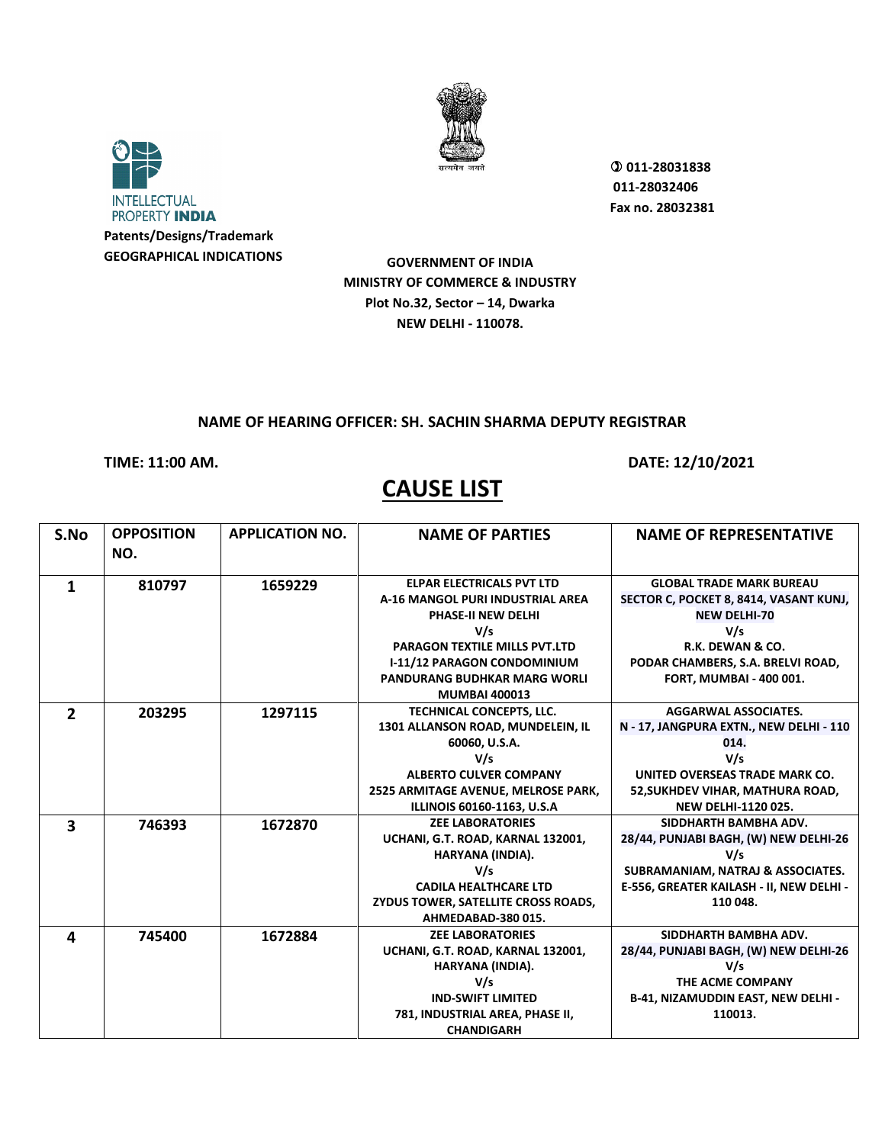



 **011-28031838 011-28032406 Fax no. 28032381**

**GOVERNMENT OF INDIA MINISTRY OF COMMERCE & INDUSTRY Plot No.32, Sector – 14, Dwarka NEW DELHI - 110078.**

### **NAME OF HEARING OFFICER: SH. SACHIN SHARMA DEPUTY REGISTRAR**

### **TIME: 11:00 AM. DATE: 12/10/2021**

| S.No           | <b>OPPOSITION</b><br>NO. | <b>APPLICATION NO.</b> | <b>NAME OF PARTIES</b>               | <b>NAME OF REPRESENTATIVE</b>            |
|----------------|--------------------------|------------------------|--------------------------------------|------------------------------------------|
|                |                          |                        |                                      |                                          |
| 1              | 810797                   | 1659229                | <b>ELPAR ELECTRICALS PVT LTD</b>     | <b>GLOBAL TRADE MARK BUREAU</b>          |
|                |                          |                        | A-16 MANGOL PURI INDUSTRIAL AREA     | SECTOR C, POCKET 8, 8414, VASANT KUNJ,   |
|                |                          |                        | <b>PHASE-II NEW DELHI</b>            | <b>NEW DELHI-70</b>                      |
|                |                          |                        | V/s                                  | V/s                                      |
|                |                          |                        | <b>PARAGON TEXTILE MILLS PVT.LTD</b> | R.K. DEWAN & CO.                         |
|                |                          |                        | <b>I-11/12 PARAGON CONDOMINIUM</b>   | PODAR CHAMBERS, S.A. BRELVI ROAD,        |
|                |                          |                        | <b>PANDURANG BUDHKAR MARG WORLI</b>  | <b>FORT, MUMBAI - 400 001.</b>           |
|                |                          |                        | <b>MUMBAI 400013</b>                 |                                          |
| $\overline{2}$ | 203295                   | 1297115                | TECHNICAL CONCEPTS, LLC.             | <b>AGGARWAL ASSOCIATES.</b>              |
|                |                          |                        | 1301 ALLANSON ROAD, MUNDELEIN, IL    | N - 17, JANGPURA EXTN., NEW DELHI - 110  |
|                |                          |                        | 60060, U.S.A.                        | 014.                                     |
|                |                          |                        | V/s                                  | V/s                                      |
|                |                          |                        | <b>ALBERTO CULVER COMPANY</b>        | UNITED OVERSEAS TRADE MARK CO.           |
|                |                          |                        | 2525 ARMITAGE AVENUE, MELROSE PARK,  | 52, SUKHDEV VIHAR, MATHURA ROAD,         |
|                |                          |                        | ILLINOIS 60160-1163, U.S.A           | <b>NEW DELHI-1120 025.</b>               |
| 3              | 746393                   | 1672870                | <b>ZEE LABORATORIES</b>              | SIDDHARTH BAMBHA ADV.                    |
|                |                          |                        | UCHANI, G.T. ROAD, KARNAL 132001,    | 28/44, PUNJABI BAGH, (W) NEW DELHI-26    |
|                |                          |                        | HARYANA (INDIA).                     | V/s                                      |
|                |                          |                        | V/s                                  | SUBRAMANIAM, NATRAJ & ASSOCIATES.        |
|                |                          |                        | <b>CADILA HEALTHCARE LTD</b>         | E-556, GREATER KAILASH - II, NEW DELHI - |
|                |                          |                        | ZYDUS TOWER, SATELLITE CROSS ROADS,  | 110 048.                                 |
|                |                          |                        | AHMEDABAD-380 015.                   |                                          |
| 4              | 745400                   | 1672884                | <b>ZEE LABORATORIES</b>              | SIDDHARTH BAMBHA ADV.                    |
|                |                          |                        | UCHANI, G.T. ROAD, KARNAL 132001,    | 28/44, PUNJABI BAGH, (W) NEW DELHI-26    |
|                |                          |                        | HARYANA (INDIA).                     | V/s                                      |
|                |                          |                        | V/s                                  | THE ACME COMPANY                         |
|                |                          |                        | <b>IND-SWIFT LIMITED</b>             | B-41, NIZAMUDDIN EAST, NEW DELHI -       |
|                |                          |                        | 781, INDUSTRIAL AREA, PHASE II,      | 110013.                                  |
|                |                          |                        | <b>CHANDIGARH</b>                    |                                          |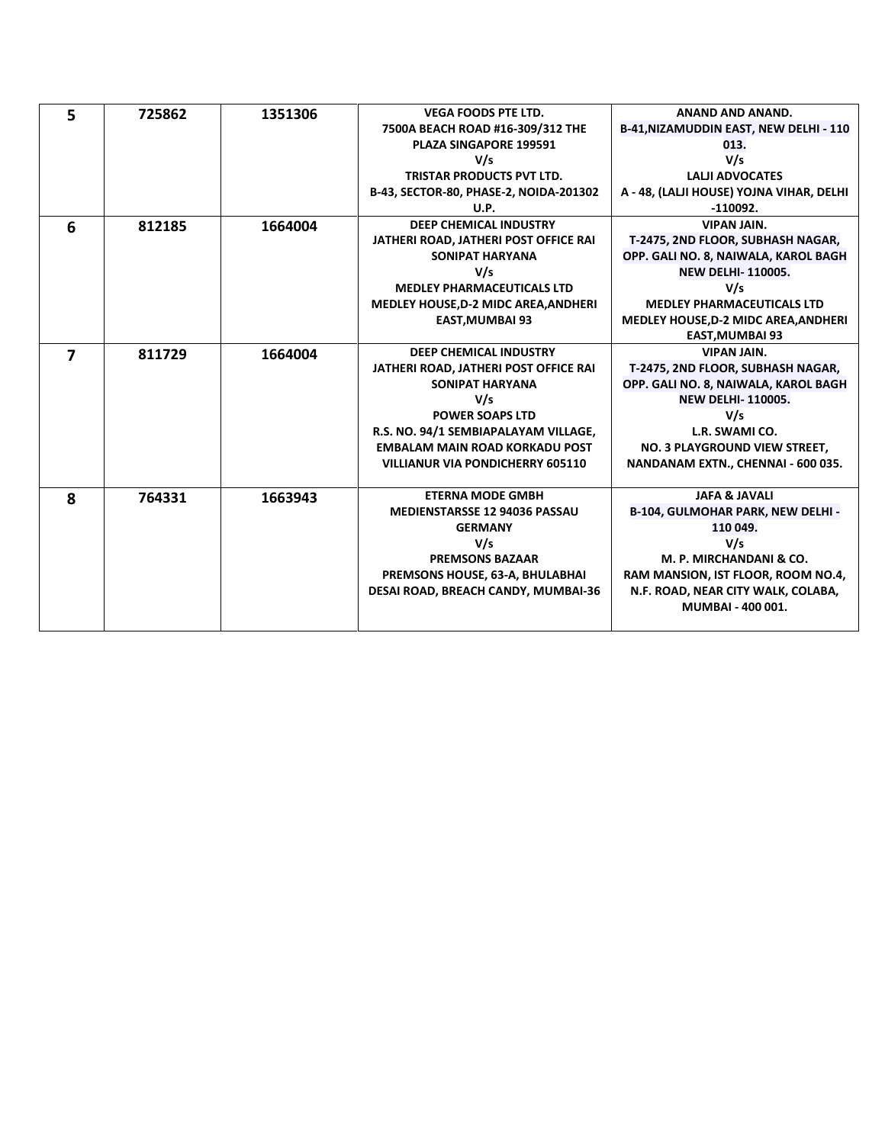| 5              | 725862 | 1351306 | <b>VEGA FOODS PTE LTD.</b>                  | <b>ANAND AND ANAND.</b>                       |
|----------------|--------|---------|---------------------------------------------|-----------------------------------------------|
|                |        |         | 7500A BEACH ROAD #16-309/312 THE            | <b>B-41, NIZAMUDDIN EAST, NEW DELHI - 110</b> |
|                |        |         | PLAZA SINGAPORE 199591                      | 013.                                          |
|                |        |         | V/s                                         | V/s                                           |
|                |        |         | TRISTAR PRODUCTS PVT LTD.                   | <b>LALII ADVOCATES</b>                        |
|                |        |         | B-43, SECTOR-80, PHASE-2, NOIDA-201302      | A - 48, (LALJI HOUSE) YOJNA VIHAR, DELHI      |
|                |        |         | U.P.                                        | $-110092.$                                    |
| 6              | 812185 | 1664004 | <b>DEEP CHEMICAL INDUSTRY</b>               | <b>VIPAN JAIN.</b>                            |
|                |        |         | JATHERI ROAD, JATHERI POST OFFICE RAI       | T-2475, 2ND FLOOR, SUBHASH NAGAR,             |
|                |        |         | <b>SONIPAT HARYANA</b>                      | OPP. GALI NO. 8, NAIWALA, KAROL BAGH          |
|                |        |         | V/s                                         | <b>NEW DELHI-110005.</b>                      |
|                |        |         | <b>MEDLEY PHARMACEUTICALS LTD</b>           | V/s                                           |
|                |        |         | <b>MEDLEY HOUSE, D-2 MIDC AREA, ANDHERI</b> | <b>MEDLEY PHARMACEUTICALS LTD</b>             |
|                |        |         | <b>EAST, MUMBAI 93</b>                      | <b>MEDLEY HOUSE, D-2 MIDC AREA, ANDHERI</b>   |
|                |        |         |                                             | <b>EAST, MUMBAI 93</b>                        |
| $\overline{ }$ | 811729 | 1664004 | <b>DEEP CHEMICAL INDUSTRY</b>               | <b>VIPAN JAIN.</b>                            |
|                |        |         | JATHERI ROAD, JATHERI POST OFFICE RAI       | T-2475, 2ND FLOOR, SUBHASH NAGAR,             |
|                |        |         | <b>SONIPAT HARYANA</b>                      | OPP. GALI NO. 8, NAIWALA, KAROL BAGH          |
|                |        |         | V/s                                         | <b>NEW DELHI-110005.</b>                      |
|                |        |         | <b>POWER SOAPS LTD</b>                      | V/s                                           |
|                |        |         | R.S. NO. 94/1 SEMBIAPALAYAM VILLAGE,        | L.R. SWAMI CO.                                |
|                |        |         | <b>EMBALAM MAIN ROAD KORKADU POST</b>       | NO. 3 PLAYGROUND VIEW STREET,                 |
|                |        |         | <b>VILLIANUR VIA PONDICHERRY 605110</b>     | NANDANAM EXTN., CHENNAI - 600 035.            |
|                |        |         |                                             |                                               |
| 8              | 764331 | 1663943 | <b>ETERNA MODE GMBH</b>                     | <b>JAFA &amp; JAVALI</b>                      |
|                |        |         | <b>MEDIENSTARSSE 12 94036 PASSAU</b>        | B-104, GULMOHAR PARK, NEW DELHI -             |
|                |        |         | <b>GERMANY</b>                              | 110 049.                                      |
|                |        |         | V/s                                         | V/s                                           |
|                |        |         | <b>PREMSONS BAZAAR</b>                      | M. P. MIRCHANDANI & CO.                       |
|                |        |         | PREMSONS HOUSE, 63-A, BHULABHAI             | RAM MANSION, IST FLOOR, ROOM NO.4,            |
|                |        |         | DESAI ROAD, BREACH CANDY, MUMBAI-36         | N.F. ROAD, NEAR CITY WALK, COLABA,            |
|                |        |         |                                             | MUMBAI - 400 001.                             |
|                |        |         |                                             |                                               |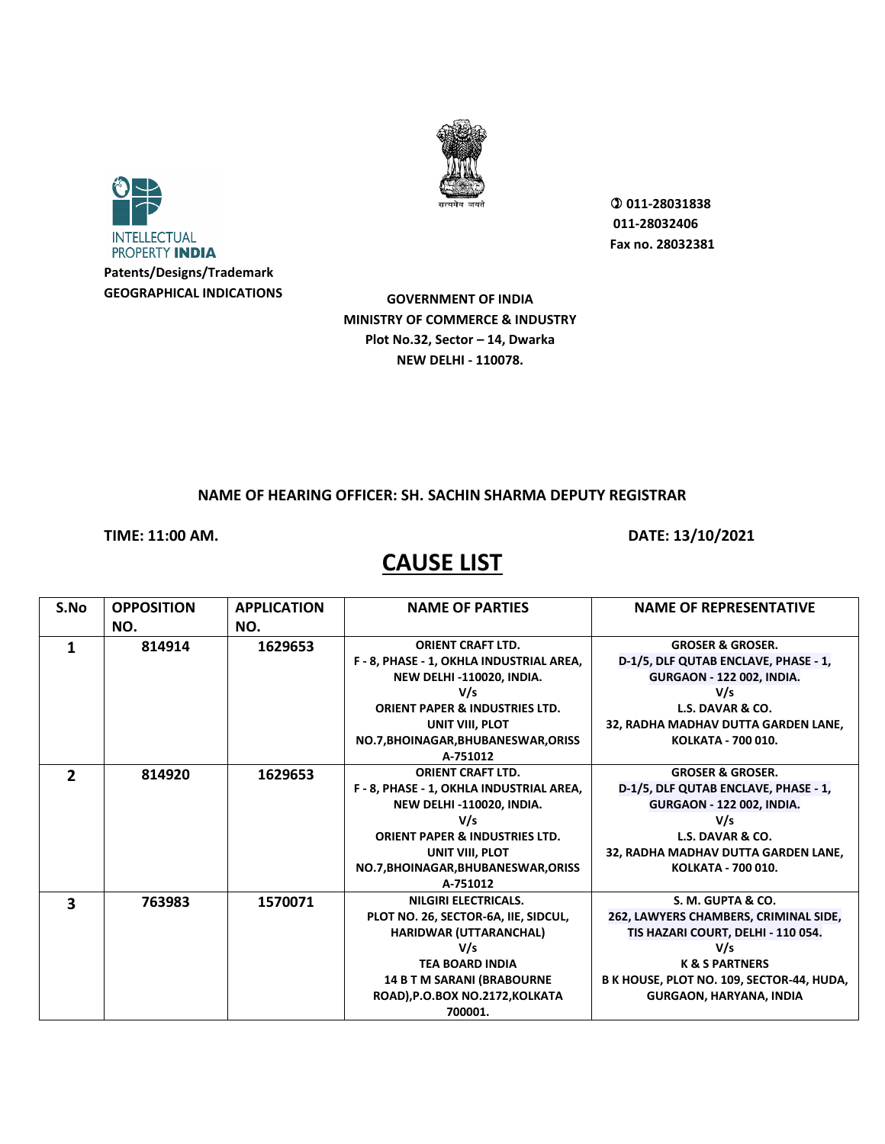



 **011-28031838 011-28032406 Fax no. 28032381**

**GOVERNMENT OF INDIA MINISTRY OF COMMERCE & INDUSTRY Plot No.32, Sector – 14, Dwarka NEW DELHI - 110078.**

#### **NAME OF HEARING OFFICER: SH. SACHIN SHARMA DEPUTY REGISTRAR**

**TIME: 11:00 AM. DATE: 13/10/2021** 

| S.No         | <b>OPPOSITION</b> | <b>APPLICATION</b> | <b>NAME OF PARTIES</b>                    | <b>NAME OF REPRESENTATIVE</b>             |
|--------------|-------------------|--------------------|-------------------------------------------|-------------------------------------------|
|              | NO.               | NO.                |                                           |                                           |
| 1            | 814914            | 1629653            | <b>ORIENT CRAFT LTD.</b>                  | <b>GROSER &amp; GROSER.</b>               |
|              |                   |                    | F - 8, PHASE - 1, OKHLA INDUSTRIAL AREA,  | D-1/5, DLF QUTAB ENCLAVE, PHASE - 1,      |
|              |                   |                    | <b>NEW DELHI-110020, INDIA.</b>           | <b>GURGAON - 122 002, INDIA.</b>          |
|              |                   |                    | V/s                                       | V/s                                       |
|              |                   |                    | <b>ORIENT PAPER &amp; INDUSTRIES LTD.</b> | L.S. DAVAR & CO.                          |
|              |                   |                    | UNIT VIII, PLOT                           | 32, RADHA MADHAV DUTTA GARDEN LANE,       |
|              |                   |                    | NO.7, BHOINAGAR, BHUBANESWAR, ORISS       | KOLKATA - 700 010.                        |
|              |                   |                    | A-751012                                  |                                           |
| $\mathbf{z}$ | 814920            | 1629653            | <b>ORIENT CRAFT LTD.</b>                  | <b>GROSER &amp; GROSER.</b>               |
|              |                   |                    | F - 8, PHASE - 1, OKHLA INDUSTRIAL AREA,  | D-1/5, DLF QUTAB ENCLAVE, PHASE - 1,      |
|              |                   |                    | NEW DELHI-110020, INDIA.                  | <b>GURGAON - 122 002, INDIA.</b>          |
|              |                   |                    | V/s                                       | V/s                                       |
|              |                   |                    | <b>ORIENT PAPER &amp; INDUSTRIES LTD.</b> | L.S. DAVAR & CO.                          |
|              |                   |                    | UNIT VIII. PLOT                           | 32, RADHA MADHAV DUTTA GARDEN LANE,       |
|              |                   |                    | NO.7, BHOINAGAR, BHUBANESWAR, ORISS       | KOLKATA - 700 010.                        |
|              |                   |                    | A-751012                                  |                                           |
| 3            | 763983            | 1570071            | NILGIRI ELECTRICALS.                      | S. M. GUPTA & CO.                         |
|              |                   |                    | PLOT NO. 26, SECTOR-6A, IIE, SIDCUL,      | 262, LAWYERS CHAMBERS, CRIMINAL SIDE,     |
|              |                   |                    | <b>HARIDWAR (UTTARANCHAL)</b>             | TIS HAZARI COURT, DELHI - 110 054.        |
|              |                   |                    | V/s                                       | V/s                                       |
|              |                   |                    | <b>TEA BOARD INDIA</b>                    | <b>K &amp; S PARTNERS</b>                 |
|              |                   |                    | <b>14 B T M SARANI (BRABOURNE</b>         | B K HOUSE, PLOT NO. 109, SECTOR-44, HUDA, |
|              |                   |                    | ROAD), P.O.BOX NO.2172, KOLKATA           | <b>GURGAON, HARYANA, INDIA</b>            |
|              |                   |                    | 700001.                                   |                                           |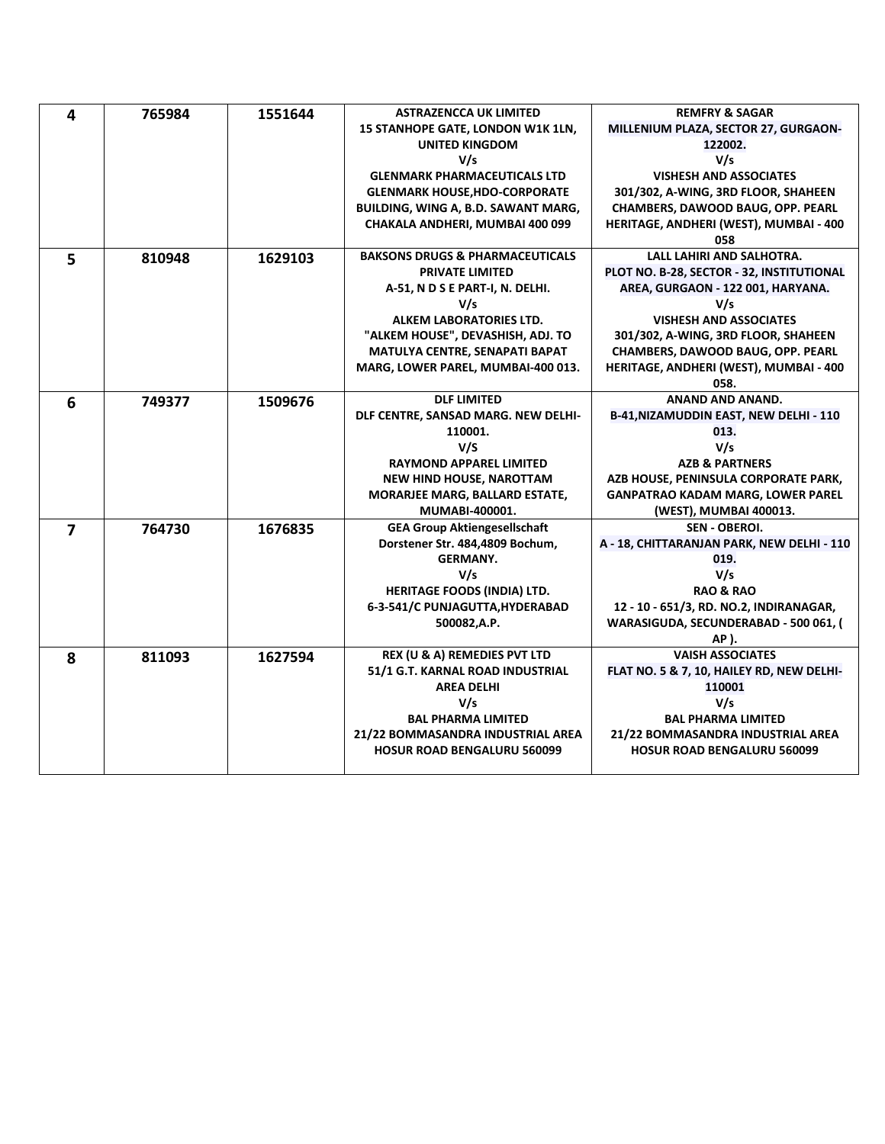| 4              | 765984 | 1551644 | <b>ASTRAZENCCA UK LIMITED</b>              | <b>REMFRY &amp; SAGAR</b>                  |
|----------------|--------|---------|--------------------------------------------|--------------------------------------------|
|                |        |         | 15 STANHOPE GATE, LONDON W1K 1LN,          | MILLENIUM PLAZA, SECTOR 27, GURGAON-       |
|                |        |         | <b>UNITED KINGDOM</b>                      | 122002.                                    |
|                |        |         | V/s                                        | V/s                                        |
|                |        |         | <b>GLENMARK PHARMACEUTICALS LTD</b>        | <b>VISHESH AND ASSOCIATES</b>              |
|                |        |         | <b>GLENMARK HOUSE, HDO-CORPORATE</b>       | 301/302, A-WING, 3RD FLOOR, SHAHEEN        |
|                |        |         | BUILDING, WING A, B.D. SAWANT MARG,        | CHAMBERS, DAWOOD BAUG, OPP. PEARL          |
|                |        |         | CHAKALA ANDHERI, MUMBAI 400 099            | HERITAGE, ANDHERI (WEST), MUMBAI - 400     |
|                |        |         |                                            | 058                                        |
| 5              | 810948 | 1629103 | <b>BAKSONS DRUGS &amp; PHARMACEUTICALS</b> | LALL LAHIRI AND SALHOTRA.                  |
|                |        |         | <b>PRIVATE LIMITED</b>                     | PLOT NO. B-28, SECTOR - 32, INSTITUTIONAL  |
|                |        |         | A-51, N D S E PART-I, N. DELHI.            | AREA, GURGAON - 122 001, HARYANA.          |
|                |        |         | V/s                                        | V/s                                        |
|                |        |         | ALKEM LABORATORIES LTD.                    | <b>VISHESH AND ASSOCIATES</b>              |
|                |        |         | "ALKEM HOUSE", DEVASHISH, ADJ. TO          | 301/302, A-WING, 3RD FLOOR, SHAHEEN        |
|                |        |         | <b>MATULYA CENTRE, SENAPATI BAPAT</b>      | <b>CHAMBERS, DAWOOD BAUG, OPP. PEARL</b>   |
|                |        |         | MARG, LOWER PAREL, MUMBAI-400 013.         | HERITAGE, ANDHERI (WEST), MUMBAI - 400     |
|                |        |         |                                            | 058.                                       |
| 6              | 749377 | 1509676 | <b>DLF LIMITED</b>                         | ANAND AND ANAND.                           |
|                |        |         | DLF CENTRE, SANSAD MARG. NEW DELHI-        | B-41, NIZAMUDDIN EAST, NEW DELHI - 110     |
|                |        |         | 110001.                                    | 013.                                       |
|                |        |         | V/S                                        | V/s                                        |
|                |        |         | <b>RAYMOND APPAREL LIMITED</b>             | <b>AZB &amp; PARTNERS</b>                  |
|                |        |         | <b>NEW HIND HOUSE, NAROTTAM</b>            | AZB HOUSE, PENINSULA CORPORATE PARK,       |
|                |        |         | MORARJEE MARG, BALLARD ESTATE,             | <b>GANPATRAO KADAM MARG, LOWER PAREL</b>   |
|                |        |         | MUMABI-400001.                             | (WEST), MUMBAI 400013.                     |
| $\overline{7}$ | 764730 | 1676835 | <b>GEA Group Aktiengesellschaft</b>        | SEN - OBEROI.                              |
|                |        |         | Dorstener Str. 484,4809 Bochum,            | A - 18, CHITTARANJAN PARK, NEW DELHI - 110 |
|                |        |         | <b>GERMANY.</b>                            | 019.                                       |
|                |        |         | V/s                                        | V/s                                        |
|                |        |         | <b>HERITAGE FOODS (INDIA) LTD.</b>         | <b>RAO &amp; RAO</b>                       |
|                |        |         | 6-3-541/C PUNJAGUTTA, HYDERABAD            | 12 - 10 - 651/3, RD. NO.2, INDIRANAGAR,    |
|                |        |         | 500082,A.P.                                | WARASIGUDA, SECUNDERABAD - 500 061, (      |
|                |        |         |                                            | AP).                                       |
| 8              | 811093 | 1627594 | <b>REX (U &amp; A) REMEDIES PVT LTD</b>    | <b>VAISH ASSOCIATES</b>                    |
|                |        |         | 51/1 G.T. KARNAL ROAD INDUSTRIAL           | FLAT NO. 5 & 7, 10, HAILEY RD, NEW DELHI-  |
|                |        |         | <b>AREA DELHI</b>                          | 110001                                     |
|                |        |         | V/s                                        | V/s                                        |
|                |        |         | <b>BAL PHARMA LIMITED</b>                  | <b>BAL PHARMA LIMITED</b>                  |
|                |        |         | 21/22 BOMMASANDRA INDUSTRIAL AREA          | 21/22 BOMMASANDRA INDUSTRIAL AREA          |
|                |        |         | <b>HOSUR ROAD BENGALURU 560099</b>         | <b>HOSUR ROAD BENGALURU 560099</b>         |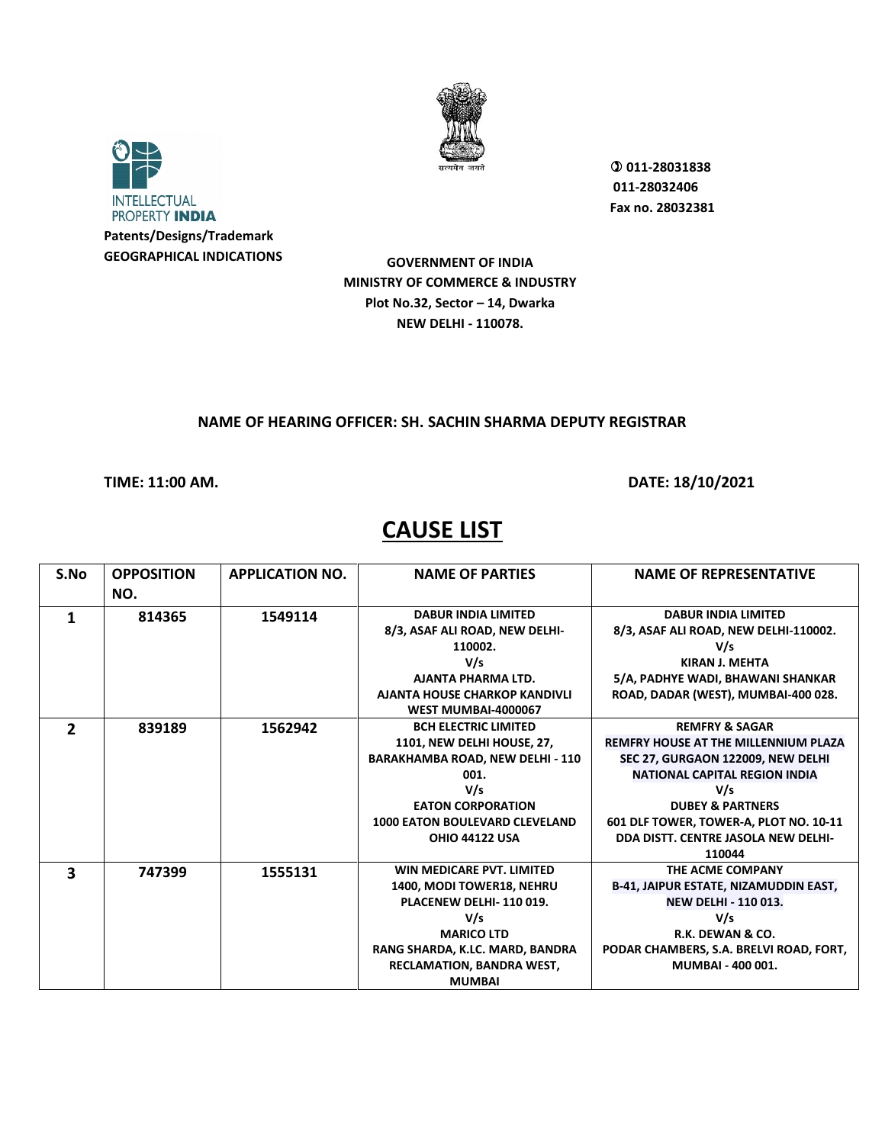



**GEOGRAPHICAL INDICATIONS**

 **011-28031838 011-28032406 Fax no. 28032381**

**GOVERNMENT OF INDIA MINISTRY OF COMMERCE & INDUSTRY Plot No.32, Sector – 14, Dwarka NEW DELHI - 110078.**

### **NAME OF HEARING OFFICER: SH. SACHIN SHARMA DEPUTY REGISTRAR**

**TIME: 11:00 AM. DATE: 18/10/2021** 

| S.No         | <b>OPPOSITION</b> | <b>APPLICATION NO.</b> | <b>NAME OF PARTIES</b>                  | <b>NAME OF REPRESENTATIVE</b>                |
|--------------|-------------------|------------------------|-----------------------------------------|----------------------------------------------|
|              | NO.               |                        |                                         |                                              |
|              | 814365            | 1549114                | <b>DABUR INDIA LIMITED</b>              | <b>DABUR INDIA LIMITED</b>                   |
|              |                   |                        | 8/3, ASAF ALI ROAD, NEW DELHI-          | 8/3, ASAF ALI ROAD, NEW DELHI-110002.        |
|              |                   |                        | 110002.                                 | V/s                                          |
|              |                   |                        | V/s                                     | KIRAN J. MEHTA                               |
|              |                   |                        | AJANTA PHARMA LTD.                      | 5/A, PADHYE WADI, BHAWANI SHANKAR            |
|              |                   |                        | AJANTA HOUSE CHARKOP KANDIVLI           | ROAD, DADAR (WEST), MUMBAI-400 028.          |
|              |                   |                        | <b>WEST MUMBAI-4000067</b>              |                                              |
| $\mathbf{2}$ | 839189            | 1562942                | <b>BCH ELECTRIC LIMITED</b>             | <b>REMFRY &amp; SAGAR</b>                    |
|              |                   |                        | 1101, NEW DELHI HOUSE, 27,              | <b>REMFRY HOUSE AT THE MILLENNIUM PLAZA</b>  |
|              |                   |                        | <b>BARAKHAMBA ROAD, NEW DELHI - 110</b> | SEC 27, GURGAON 122009, NEW DELHI            |
|              |                   |                        | 001.                                    | <b>NATIONAL CAPITAL REGION INDIA</b>         |
|              |                   |                        | V/s                                     | V/s                                          |
|              |                   |                        | <b>EATON CORPORATION</b>                | <b>DUBEY &amp; PARTNERS</b>                  |
|              |                   |                        | <b>1000 EATON BOULEVARD CLEVELAND</b>   | 601 DLF TOWER, TOWER-A, PLOT NO. 10-11       |
|              |                   |                        | <b>OHIO 44122 USA</b>                   | DDA DISTT. CENTRE JASOLA NEW DELHI-          |
|              |                   |                        |                                         | 110044                                       |
| 3            | 747399            | 1555131                | WIN MEDICARE PVT. LIMITED               | THE ACME COMPANY                             |
|              |                   |                        | 1400, MODI TOWER18, NEHRU               | <b>B-41, JAIPUR ESTATE, NIZAMUDDIN EAST,</b> |
|              |                   |                        | PLACENEW DELHI-110019.                  | <b>NEW DELHI - 110 013.</b>                  |
|              |                   |                        | V/s                                     | V/s                                          |
|              |                   |                        | <b>MARICO LTD</b>                       | R.K. DEWAN & CO.                             |
|              |                   |                        | RANG SHARDA, K.LC. MARD, BANDRA         | PODAR CHAMBERS, S.A. BRELVI ROAD, FORT,      |
|              |                   |                        | <b>RECLAMATION, BANDRA WEST,</b>        | MUMBAI - 400 001.                            |
|              |                   |                        | <b>MUMBAI</b>                           |                                              |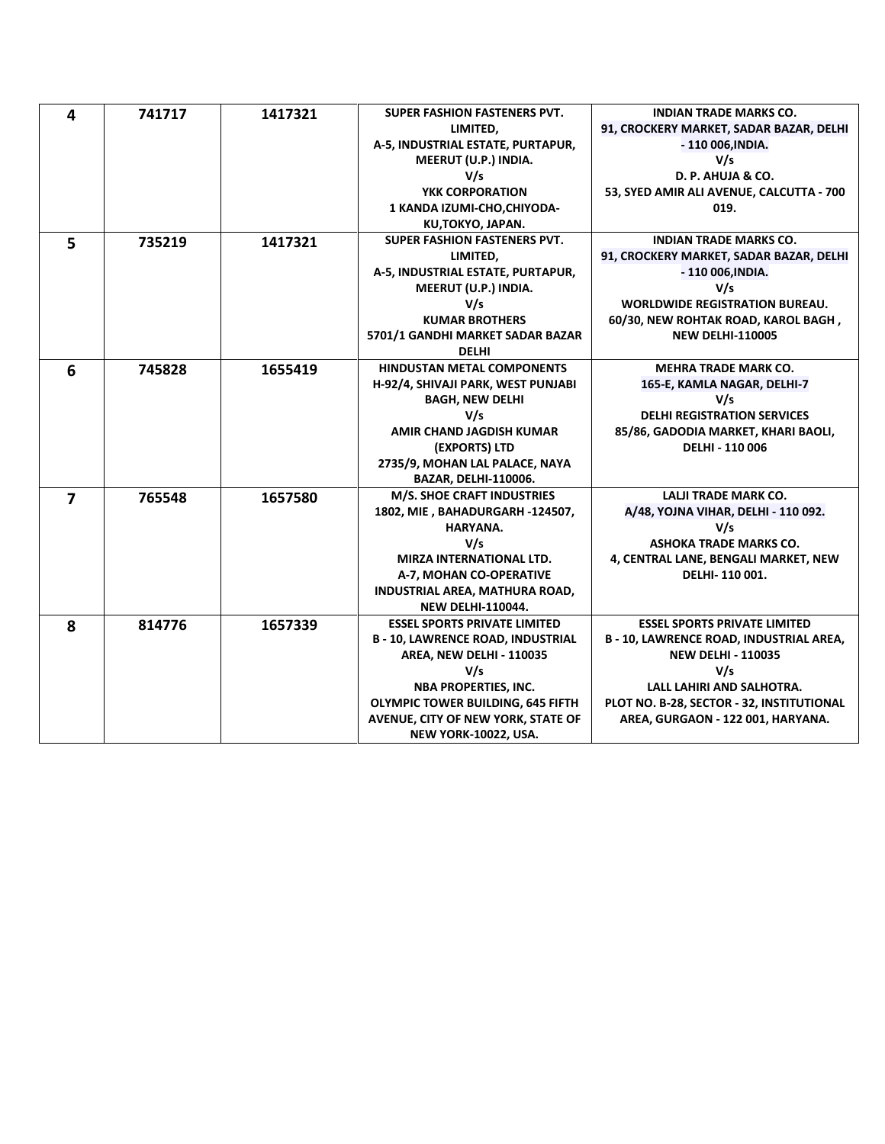| 4              | 741717 | 1417321 | SUPER FASHION FASTENERS PVT.             | <b>INDIAN TRADE MARKS CO.</b>                |
|----------------|--------|---------|------------------------------------------|----------------------------------------------|
|                |        |         | LIMITED,                                 | 91, CROCKERY MARKET, SADAR BAZAR, DELHI      |
|                |        |         | A-5, INDUSTRIAL ESTATE, PURTAPUR,        | - 110 006, INDIA.                            |
|                |        |         | MEERUT (U.P.) INDIA.                     | V/s                                          |
|                |        |         | V/s                                      | D. P. AHUJA & CO.                            |
|                |        |         | YKK CORPORATION                          | 53, SYED AMIR ALI AVENUE, CALCUTTA - 700     |
|                |        |         | 1 KANDA IZUMI-CHO, CHIYODA-              | 019.                                         |
|                |        |         | KU,TOKYO, JAPAN.                         |                                              |
| 5              | 735219 | 1417321 | <b>SUPER FASHION FASTENERS PVT.</b>      | <b>INDIAN TRADE MARKS CO.</b>                |
|                |        |         | LIMITED,                                 | 91, CROCKERY MARKET, SADAR BAZAR, DELHI      |
|                |        |         | A-5, INDUSTRIAL ESTATE, PURTAPUR,        | - 110 006, INDIA.                            |
|                |        |         | MEERUT (U.P.) INDIA.                     | V/s                                          |
|                |        |         | V/s                                      | <b>WORLDWIDE REGISTRATION BUREAU.</b>        |
|                |        |         | <b>KUMAR BROTHERS</b>                    | 60/30, NEW ROHTAK ROAD, KAROL BAGH,          |
|                |        |         | 5701/1 GANDHI MARKET SADAR BAZAR         | <b>NEW DELHI-110005</b>                      |
|                |        |         | <b>DELHI</b>                             |                                              |
| 6              | 745828 | 1655419 | <b>HINDUSTAN METAL COMPONENTS</b>        | <b>MEHRA TRADE MARK CO.</b>                  |
|                |        |         | H-92/4, SHIVAJI PARK, WEST PUNJABI       | 165-E, KAMLA NAGAR, DELHI-7                  |
|                |        |         | <b>BAGH, NEW DELHI</b>                   | V/s                                          |
|                |        |         | V/s                                      | <b>DELHI REGISTRATION SERVICES</b>           |
|                |        |         | AMIR CHAND JAGDISH KUMAR                 | 85/86, GADODIA MARKET, KHARI BAOLI,          |
|                |        |         | (EXPORTS) LTD                            | <b>DELHI - 110 006</b>                       |
|                |        |         | 2735/9, MOHAN LAL PALACE, NAYA           |                                              |
|                |        |         | <b>BAZAR, DELHI-110006.</b>              |                                              |
| $\overline{ }$ | 765548 | 1657580 | <b>M/S. SHOE CRAFT INDUSTRIES</b>        | <b>LALJI TRADE MARK CO.</b>                  |
|                |        |         | 1802, MIE, BAHADURGARH-124507,           | A/48, YOJNA VIHAR, DELHI - 110 092.          |
|                |        |         | HARYANA.                                 | V/s                                          |
|                |        |         | V/s                                      | <b>ASHOKA TRADE MARKS CO.</b>                |
|                |        |         | <b>MIRZA INTERNATIONAL LTD.</b>          | 4, CENTRAL LANE, BENGALI MARKET, NEW         |
|                |        |         | A-7, MOHAN CO-OPERATIVE                  | DELHI-110 001.                               |
|                |        |         | INDUSTRIAL AREA, MATHURA ROAD,           |                                              |
|                |        |         | <b>NEW DELHI-110044.</b>                 |                                              |
| 8              | 814776 | 1657339 | <b>ESSEL SPORTS PRIVATE LIMITED</b>      | <b>ESSEL SPORTS PRIVATE LIMITED</b>          |
|                |        |         | <b>B-10, LAWRENCE ROAD, INDUSTRIAL</b>   | <b>B-10, LAWRENCE ROAD, INDUSTRIAL AREA,</b> |
|                |        |         | <b>AREA, NEW DELHI - 110035</b>          | <b>NEW DELHI - 110035</b>                    |
|                |        |         | V/s                                      | V/s                                          |
|                |        |         | <b>NBA PROPERTIES, INC.</b>              | LALL LAHIRI AND SALHOTRA.                    |
|                |        |         | <b>OLYMPIC TOWER BUILDING, 645 FIFTH</b> | PLOT NO. B-28, SECTOR - 32, INSTITUTIONAL    |
|                |        |         | AVENUE, CITY OF NEW YORK, STATE OF       | AREA, GURGAON - 122 001, HARYANA.            |
|                |        |         | NEW YORK-10022, USA.                     |                                              |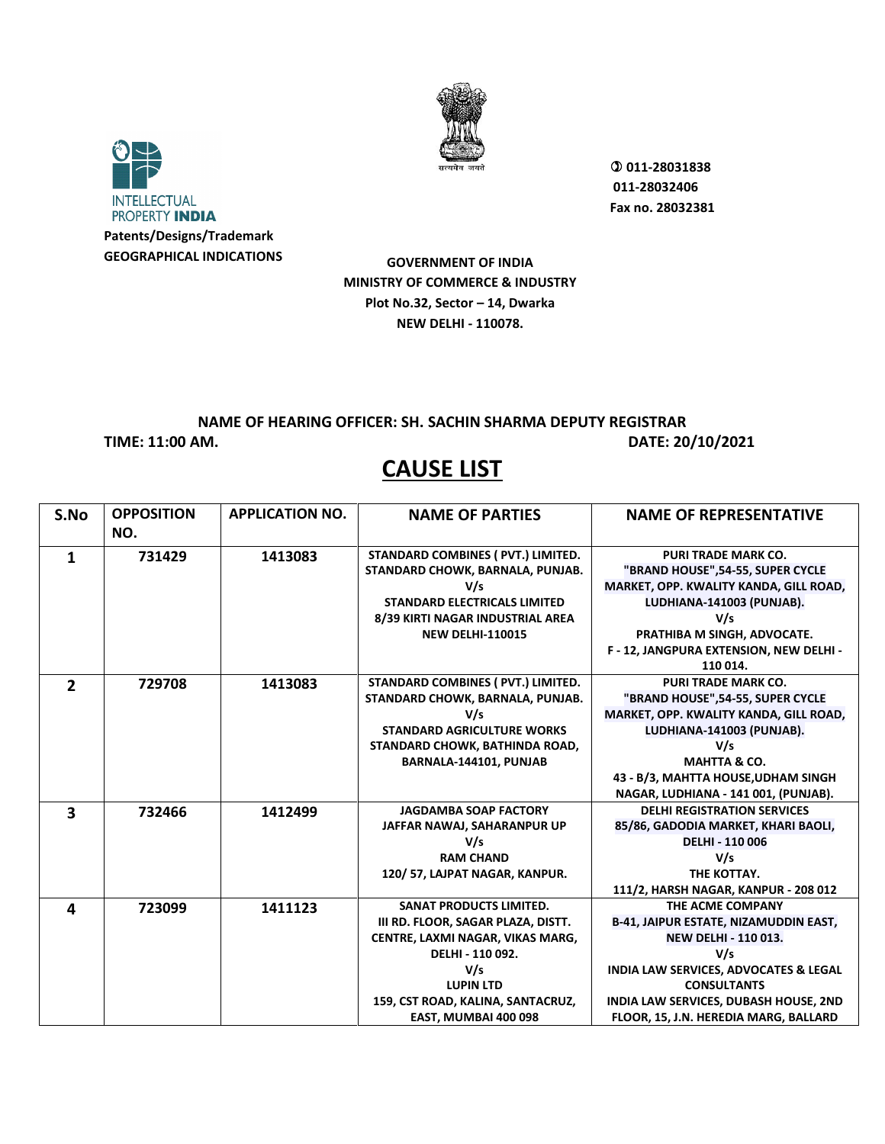



 **011-28031838 011-28032406 Fax no. 28032381**

**GOVERNMENT OF INDIA MINISTRY OF COMMERCE & INDUSTRY Plot No.32, Sector – 14, Dwarka NEW DELHI - 110078.**

## **NAME OF HEARING OFFICER: SH. SACHIN SHARMA DEPUTY REGISTRAR**

**TIME: 11:00 AM. DATE: 20/10/2021** 

| S.No           | <b>OPPOSITION</b><br>NO. | <b>APPLICATION NO.</b> | <b>NAME OF PARTIES</b>              | <b>NAME OF REPRESENTATIVE</b>                |
|----------------|--------------------------|------------------------|-------------------------------------|----------------------------------------------|
| 1              | 731429                   | 1413083                | STANDARD COMBINES (PVT.) LIMITED.   | <b>PURI TRADE MARK CO.</b>                   |
|                |                          |                        | STANDARD CHOWK, BARNALA, PUNJAB.    | "BRAND HOUSE",54-55, SUPER CYCLE             |
|                |                          |                        | V/s                                 | MARKET, OPP. KWALITY KANDA, GILL ROAD,       |
|                |                          |                        | <b>STANDARD ELECTRICALS LIMITED</b> | LUDHIANA-141003 (PUNJAB).                    |
|                |                          |                        | 8/39 KIRTI NAGAR INDUSTRIAL AREA    | V/s                                          |
|                |                          |                        | <b>NEW DELHI-110015</b>             | PRATHIBA M SINGH, ADVOCATE.                  |
|                |                          |                        |                                     | F - 12, JANGPURA EXTENSION, NEW DELHI -      |
|                |                          |                        |                                     | 110 014.                                     |
| $\overline{2}$ | 729708                   | 1413083                | STANDARD COMBINES ( PVT.) LIMITED.  | <b>PURI TRADE MARK CO.</b>                   |
|                |                          |                        | STANDARD CHOWK, BARNALA, PUNJAB.    | "BRAND HOUSE", 54-55, SUPER CYCLE            |
|                |                          |                        | V/s                                 | MARKET, OPP. KWALITY KANDA, GILL ROAD,       |
|                |                          |                        | <b>STANDARD AGRICULTURE WORKS</b>   | LUDHIANA-141003 (PUNJAB).                    |
|                |                          |                        | STANDARD CHOWK, BATHINDA ROAD,      | V/s                                          |
|                |                          |                        | BARNALA-144101, PUNJAB              | <b>MAHTTA &amp; CO.</b>                      |
|                |                          |                        |                                     | 43 - B/3, MAHTTA HOUSE, UDHAM SINGH          |
|                |                          |                        |                                     | NAGAR, LUDHIANA - 141 001, (PUNJAB).         |
| 3              | 732466                   | 1412499                | <b>JAGDAMBA SOAP FACTORY</b>        | <b>DELHI REGISTRATION SERVICES</b>           |
|                |                          |                        | JAFFAR NAWAJ, SAHARANPUR UP         | 85/86, GADODIA MARKET, KHARI BAOLI,          |
|                |                          |                        | V/s                                 | <b>DELHI - 110 006</b>                       |
|                |                          |                        | <b>RAM CHAND</b>                    | V/s                                          |
|                |                          |                        | 120/57, LAJPAT NAGAR, KANPUR.       | THE KOTTAY.                                  |
|                |                          |                        |                                     | 111/2, HARSH NAGAR, KANPUR - 208 012         |
| 4              | 723099                   | 1411123                | <b>SANAT PRODUCTS LIMITED.</b>      | THE ACME COMPANY                             |
|                |                          |                        | III RD. FLOOR, SAGAR PLAZA, DISTT.  | <b>B-41, JAIPUR ESTATE, NIZAMUDDIN EAST,</b> |
|                |                          |                        | CENTRE, LAXMI NAGAR, VIKAS MARG,    | <b>NEW DELHI - 110 013.</b>                  |
|                |                          |                        | DELHI - 110 092.                    | V/s                                          |
|                |                          |                        | V/s                                 | INDIA LAW SERVICES, ADVOCATES & LEGAL        |
|                |                          |                        | <b>LUPIN LTD</b>                    | <b>CONSULTANTS</b>                           |
|                |                          |                        | 159, CST ROAD, KALINA, SANTACRUZ,   | INDIA LAW SERVICES, DUBASH HOUSE, 2ND        |
|                |                          |                        | EAST, MUMBAI 400 098                | FLOOR, 15, J.N. HEREDIA MARG, BALLARD        |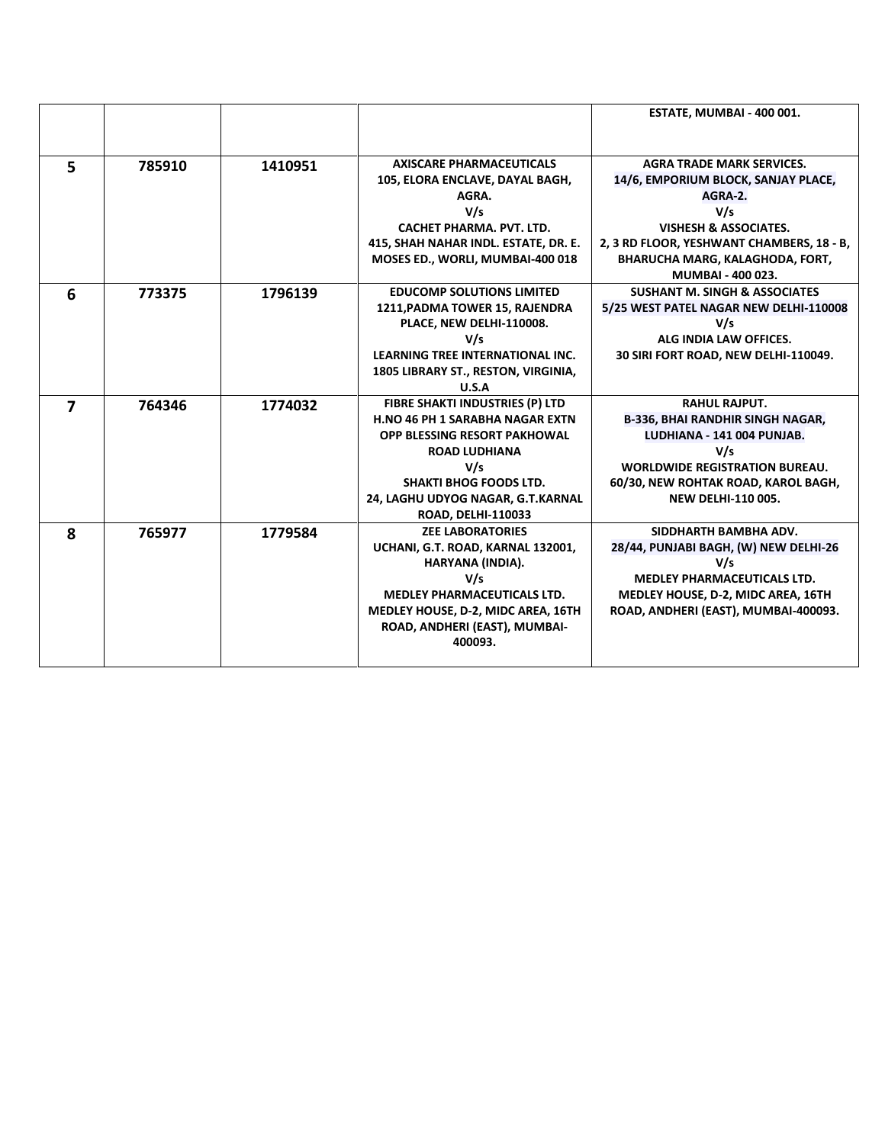|   |        |         |                                                                                                                                                                                                                                             | ESTATE, MUMBAI - 400 001.                                                                                                                                                                                                          |
|---|--------|---------|---------------------------------------------------------------------------------------------------------------------------------------------------------------------------------------------------------------------------------------------|------------------------------------------------------------------------------------------------------------------------------------------------------------------------------------------------------------------------------------|
| 5 | 785910 | 1410951 | <b>AXISCARE PHARMACEUTICALS</b><br>105, ELORA ENCLAVE, DAYAL BAGH,<br>AGRA.<br>V/s<br>CACHET PHARMA, PVT, LTD.<br>415, SHAH NAHAR INDL. ESTATE, DR. E.<br>MOSES ED., WORLI, MUMBAI-400 018                                                  | <b>AGRA TRADE MARK SERVICES.</b><br>14/6, EMPORIUM BLOCK, SANJAY PLACE,<br>AGRA-2.<br>V/s<br><b>VISHESH &amp; ASSOCIATES.</b><br>2, 3 RD FLOOR, YESHWANT CHAMBERS, 18 - B,<br>BHARUCHA MARG, KALAGHODA, FORT,<br>MUMBAI - 400 023. |
| 6 | 773375 | 1796139 | <b>EDUCOMP SOLUTIONS LIMITED</b><br>1211, PADMA TOWER 15, RAJENDRA<br>PLACE, NEW DELHI-110008.<br>V/s<br><b>LEARNING TREE INTERNATIONAL INC.</b><br>1805 LIBRARY ST., RESTON, VIRGINIA,<br>U.S.A                                            | <b>SUSHANT M. SINGH &amp; ASSOCIATES</b><br>5/25 WEST PATEL NAGAR NEW DELHI-110008<br>V/s<br>ALG INDIA LAW OFFICES.<br>30 SIRI FORT ROAD, NEW DELHI-110049.                                                                        |
| 7 | 764346 | 1774032 | FIBRE SHAKTI INDUSTRIES (P) LTD<br><b>H.NO 46 PH 1 SARABHA NAGAR EXTN</b><br><b>OPP BLESSING RESORT PAKHOWAL</b><br><b>ROAD LUDHIANA</b><br>V/s<br><b>SHAKTI BHOG FOODS LTD.</b><br>24, LAGHU UDYOG NAGAR, G.T.KARNAL<br>ROAD, DELHI-110033 | <b>RAHUL RAJPUT.</b><br><b>B-336, BHAI RANDHIR SINGH NAGAR,</b><br>LUDHIANA - 141 004 PUNJAB.<br>V/s<br><b>WORLDWIDE REGISTRATION BUREAU.</b><br>60/30, NEW ROHTAK ROAD, KAROL BAGH,<br><b>NEW DELHI-110 005.</b>                  |
| 8 | 765977 | 1779584 | <b>ZEE LABORATORIES</b><br>UCHANI, G.T. ROAD, KARNAL 132001,<br>HARYANA (INDIA).<br>V/s<br><b>MEDLEY PHARMACEUTICALS LTD.</b><br>MEDLEY HOUSE, D-2, MIDC AREA, 16TH<br>ROAD, ANDHERI (EAST), MUMBAI-<br>400093.                             | SIDDHARTH BAMBHA ADV.<br>28/44, PUNJABI BAGH, (W) NEW DELHI-26<br>V/s<br><b>MEDLEY PHARMACEUTICALS LTD.</b><br>MEDLEY HOUSE, D-2, MIDC AREA, 16TH<br>ROAD, ANDHERI (EAST), MUMBAI-400093.                                          |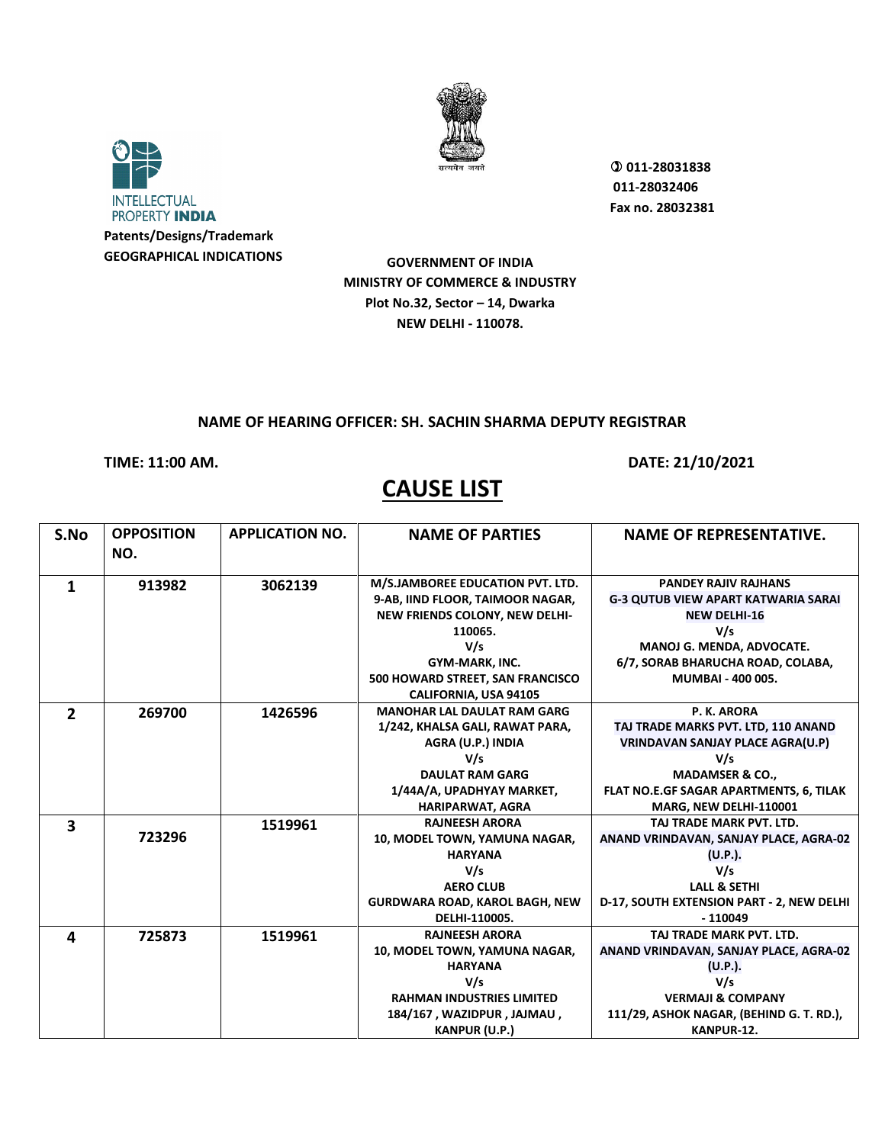



 **011-28031838 011-28032406 Fax no. 28032381**

**GOVERNMENT OF INDIA MINISTRY OF COMMERCE & INDUSTRY Plot No.32, Sector – 14, Dwarka NEW DELHI - 110078.**

### **NAME OF HEARING OFFICER: SH. SACHIN SHARMA DEPUTY REGISTRAR**

**TIME: 11:00 AM. DATE: 21/10/2021** 

| S.No         | <b>OPPOSITION</b><br>NO. | <b>APPLICATION NO.</b> | <b>NAME OF PARTIES</b>                | <b>NAME OF REPRESENTATIVE.</b>             |
|--------------|--------------------------|------------------------|---------------------------------------|--------------------------------------------|
|              |                          |                        |                                       |                                            |
| 1            | 913982                   | 3062139                | M/S.JAMBOREE EDUCATION PVT. LTD.      | <b>PANDEY RAJIV RAJHANS</b>                |
|              |                          |                        | 9-AB, IIND FLOOR, TAIMOOR NAGAR,      | <b>G-3 QUTUB VIEW APART KATWARIA SARAI</b> |
|              |                          |                        | NEW FRIENDS COLONY, NEW DELHI-        | <b>NEW DELHI-16</b>                        |
|              |                          |                        | 110065.                               | V/s                                        |
|              |                          |                        | V/s                                   | MANOJ G. MENDA, ADVOCATE.                  |
|              |                          |                        | GYM-MARK, INC.                        | 6/7, SORAB BHARUCHA ROAD, COLABA,          |
|              |                          |                        | 500 HOWARD STREET, SAN FRANCISCO      | MUMBAI - 400 005.                          |
|              |                          |                        | <b>CALIFORNIA, USA 94105</b>          |                                            |
| $\mathbf{z}$ | 269700                   | 1426596                | <b>MANOHAR LAL DAULAT RAM GARG</b>    | P. K. ARORA                                |
|              |                          |                        | 1/242, KHALSA GALI, RAWAT PARA,       | TAJ TRADE MARKS PVT. LTD, 110 ANAND        |
|              |                          |                        | AGRA (U.P.) INDIA                     | <b>VRINDAVAN SANJAY PLACE AGRA(U.P)</b>    |
|              |                          |                        | V/s                                   | V/s                                        |
|              |                          |                        | <b>DAULAT RAM GARG</b>                | <b>MADAMSER &amp; CO.,</b>                 |
|              |                          |                        | 1/44A/A, UPADHYAY MARKET,             | FLAT NO.E.GF SAGAR APARTMENTS, 6, TILAK    |
|              |                          |                        | <b>HARIPARWAT, AGRA</b>               | MARG, NEW DELHI-110001                     |
| 3            |                          | 1519961                | <b>RAJNEESH ARORA</b>                 | TAJ TRADE MARK PVT. LTD.                   |
|              | 723296                   |                        | 10, MODEL TOWN, YAMUNA NAGAR,         | ANAND VRINDAVAN, SANJAY PLACE, AGRA-02     |
|              |                          |                        | <b>HARYANA</b>                        | (U.P.).                                    |
|              |                          |                        | V/s                                   | V/s                                        |
|              |                          |                        | <b>AERO CLUB</b>                      | <b>LALL &amp; SETHI</b>                    |
|              |                          |                        | <b>GURDWARA ROAD, KAROL BAGH, NEW</b> | D-17, SOUTH EXTENSION PART - 2, NEW DELHI  |
|              |                          |                        | DELHI-110005.                         | $-110049$                                  |
| 4            | 725873                   | 1519961                | <b>RAJNEESH ARORA</b>                 | TAJ TRADE MARK PVT. LTD.                   |
|              |                          |                        | 10, MODEL TOWN, YAMUNA NAGAR,         | ANAND VRINDAVAN, SANJAY PLACE, AGRA-02     |
|              |                          |                        | <b>HARYANA</b>                        | (U.P.).                                    |
|              |                          |                        | V/s                                   | V/s                                        |
|              |                          |                        | <b>RAHMAN INDUSTRIES LIMITED</b>      | <b>VERMAJI &amp; COMPANY</b>               |
|              |                          |                        | 184/167, WAZIDPUR, JAJMAU,            | 111/29, ASHOK NAGAR, (BEHIND G. T. RD.),   |
|              |                          |                        | <b>KANPUR (U.P.)</b>                  | KANPUR-12.                                 |